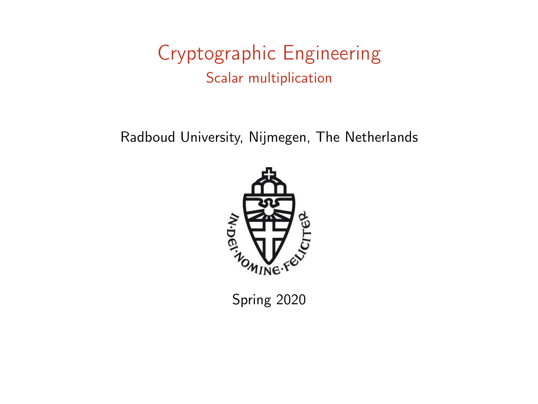### Cryptographic Engineering Scalar multiplication

Radboud University, Nijmegen, The Netherlands



Spring 2020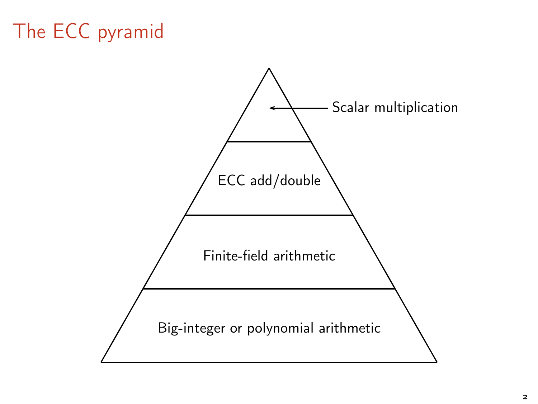# The ECC pyramid

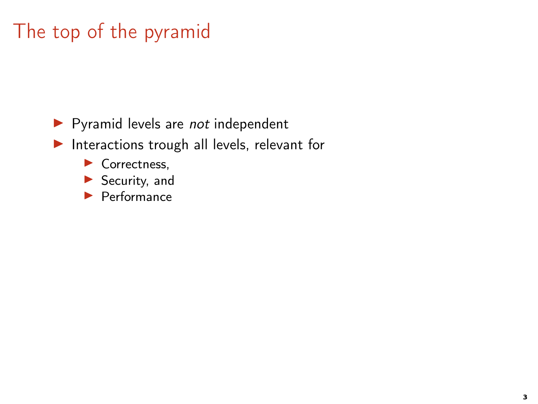## The top of the pyramid

▶ Pyramid levels are not independent

▶ Interactions trough all levels, relevant for

- ▶ Correctness,
- ▶ Security, and
- $\blacktriangleright$  Performance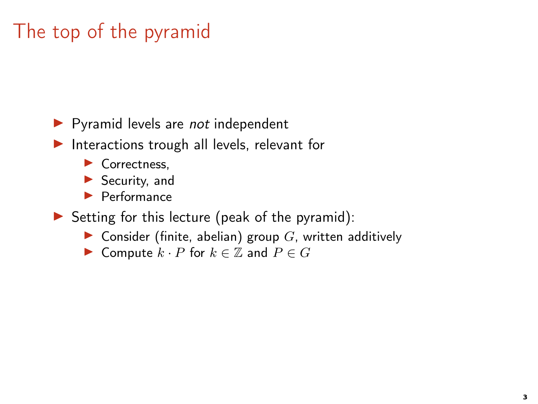## The top of the pyramid

 $\blacktriangleright$  Pyramid levels are *not* independent

▶ Interactions trough all levels, relevant for

- ▶ Correctness,
- ▶ Security, and
- ▶ Performance

 $\triangleright$  Setting for this lecture (peak of the pyramid):

- ▶ Consider (finite, abelian) group  $G$ , written additively
- ► Compute  $k \cdot P$  for  $k \in \mathbb{Z}$  and  $P \in G$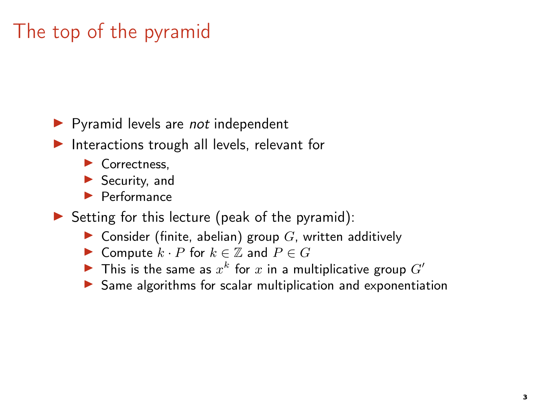## The top of the pyramid

 $\blacktriangleright$  Pyramid levels are *not* independent

▶ Interactions trough all levels, relevant for

- ▶ Correctness,
- ▶ Security, and
- ▶ Performance

 $\triangleright$  Setting for this lecture (peak of the pyramid):

- ▶ Consider (finite, abelian) group  $G$ , written additively
- ► Compute  $k \cdot P$  for  $k \in \mathbb{Z}$  and  $P \in G$
- In This is the same as  $x^k$  for  $x$  in a multiplicative group  $G'$
- ▶ Same algorithms for scalar multiplication and exponentiation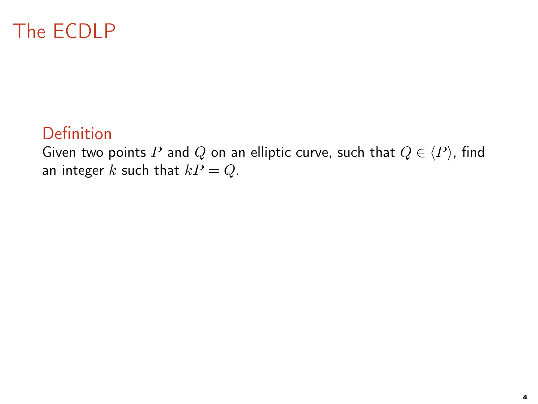## The ECDLP

#### Definition

Given two points P and Q on an elliptic curve, such that  $Q \in \langle P \rangle$ , find an integer k such that  $kP = Q$ .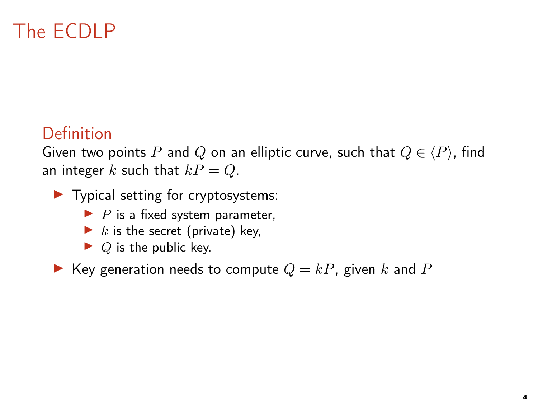## The ECDLP

#### Definition

Given two points P and Q on an elliptic curve, such that  $Q \in \langle P \rangle$ , find an integer k such that  $kP = Q$ .

- $\blacktriangleright$  Typical setting for cryptosystems:
	- $\blacktriangleright$  P is a fixed system parameter,
	- $\blacktriangleright$  k is the secret (private) key,
	- $\blacktriangleright$  Q is the public key.

Key generation needs to compute  $Q = kP$ , given k and P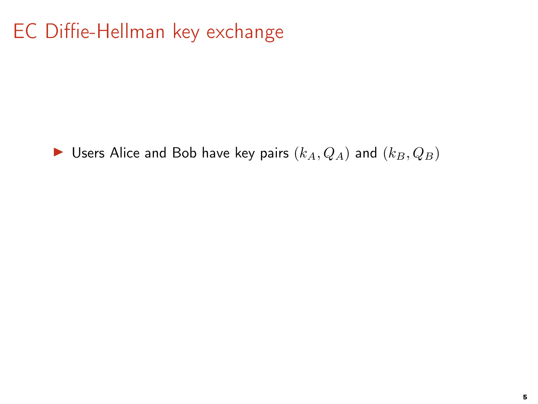## EC Diffie-Hellman key exchange

▶ Users Alice and Bob have key pairs  $(k_A, Q_A)$  and  $(k_B, Q_B)$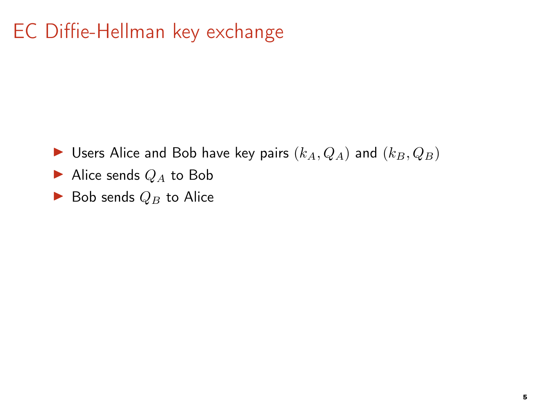## EC Diffie-Hellman key exchange

- ▶ Users Alice and Bob have key pairs  $(k_A, Q_A)$  and  $(k_B, Q_B)$
- Alice sends  $Q_A$  to Bob
- $\blacktriangleright$  Bob sends  $Q_B$  to Alice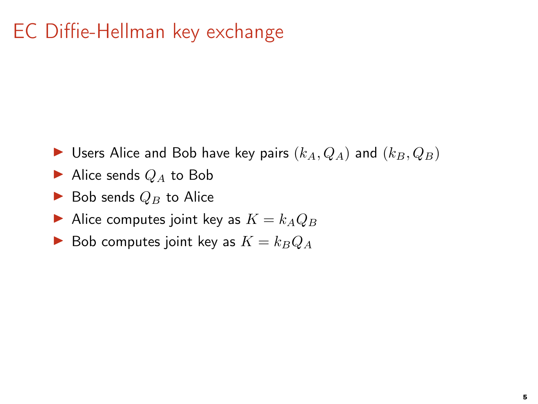## EC Diffie-Hellman key exchange

- ▶ Users Alice and Bob have key pairs  $(k_A, Q_A)$  and  $(k_B, Q_B)$
- Alice sends  $Q_A$  to Bob
- $\blacktriangleright$  Bob sends  $Q_B$  to Alice
- Alice computes joint key as  $K = k_A Q_B$
- $\blacktriangleright$  Bob computes joint key as  $K = k_BQ_A$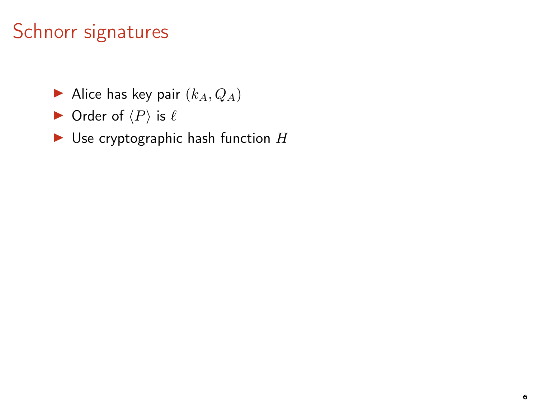### Schnorr signatures

- $\blacktriangleright$  Alice has key pair  $(k_A, Q_A)$
- $\blacktriangleright$  Order of  $\langle P \rangle$  is  $\ell$
- $\blacktriangleright$  Use cryptographic hash function  $H$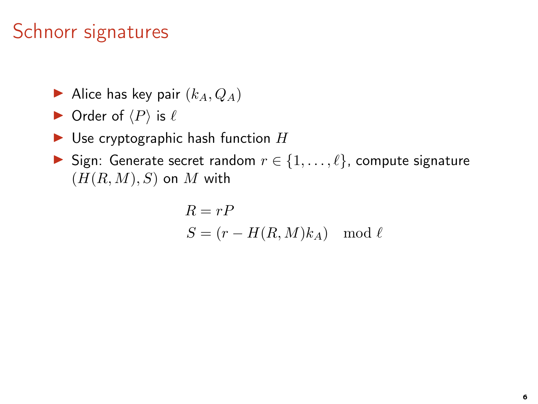### Schnorr signatures

- Alice has key pair  $(k_A, Q_A)$
- $\blacktriangleright$  Order of  $\langle P \rangle$  is  $\ell$
- $\blacktriangleright$  Use cryptographic hash function  $H$
- Sign: Generate secret random  $r \in \{1, \ldots, \ell\}$ , compute signature  $(H(R, M), S)$  on M with

$$
R = rP
$$
  

$$
S = (r - H(R, M)k_A) \mod \ell
$$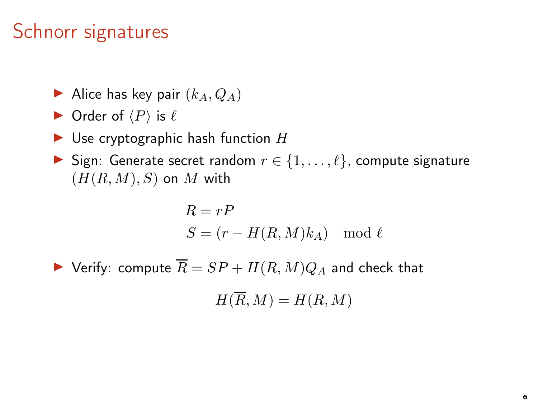### Schnorr signatures

- Alice has key pair  $(k_A, Q_A)$
- $\triangleright$  Order of  $\langle P \rangle$  is  $\ell$
- $\blacktriangleright$  Use cryptographic hash function H
- Sign: Generate secret random  $r \in \{1, \ldots, \ell\}$ , compute signature  $(H(R, M), S)$  on M with

$$
R = rP
$$
  

$$
S = (r - H(R, M)k_A) \mod \ell
$$

 $\blacktriangleright$  Verify: compute  $\overline{R} = SP + H(R, M)Q_A$  and check that

 $H(\overline{R}, M) = H(R, M)$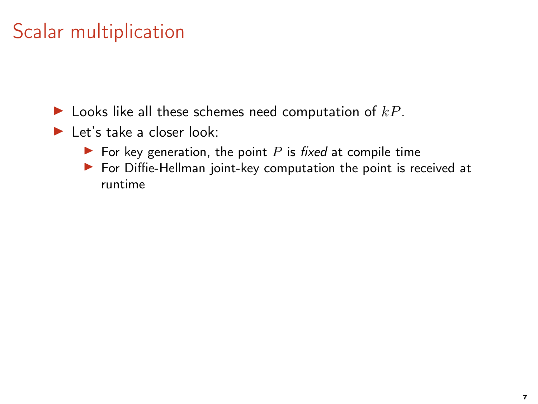- $\blacktriangleright$  Looks like all these schemes need computation of  $kP$ .
- $\blacktriangleright$  Let's take a closer look:
	- $\blacktriangleright$  For key generation, the point P is fixed at compile time
	- $\triangleright$  For Diffie-Hellman joint-key computation the point is received at runtime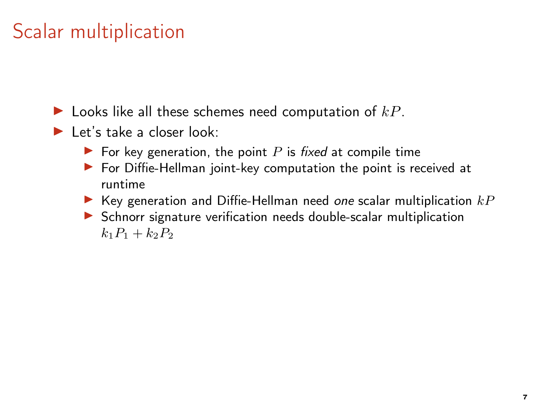- $\blacktriangleright$  Let's take a closer look:
	- $\blacktriangleright$  For key generation, the point P is fixed at compile time
	- ▶ For Diffie-Hellman joint-key computation the point is received at runtime
	- Exev generation and Diffie-Hellman need one scalar multiplication  $kP$
	- ▶ Schnorr signature verification needs double-scalar multiplication  $k_1 P_1 + k_2 P_2$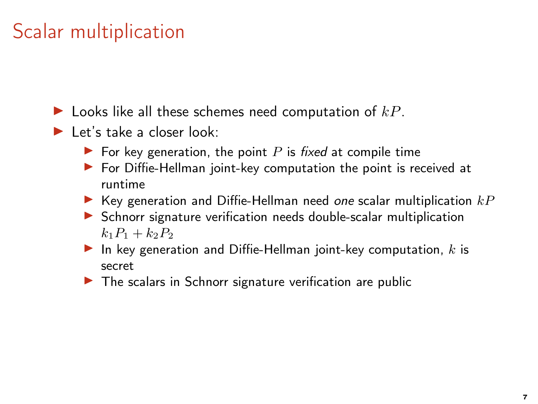- $\blacktriangleright$  Let's take a closer look:
	- $\blacktriangleright$  For key generation, the point P is fixed at compile time
	- $\triangleright$  For Diffie-Hellman joint-key computation the point is received at runtime
	- Exev generation and Diffie-Hellman need one scalar multiplication  $kP$
	- ▶ Schnorr signature verification needs double-scalar multiplication  $k_1P_1 + k_2P_2$
	- $\blacktriangleright$  In key generation and Diffie-Hellman joint-key computation, k is secret
	- $\triangleright$  The scalars in Schnorr signature verification are public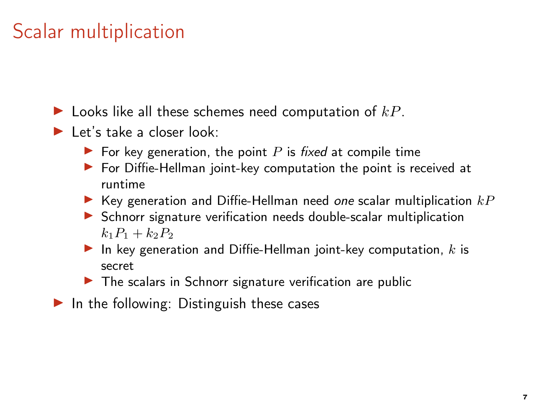- $\blacktriangleright$  Let's take a closer look:
	- $\blacktriangleright$  For key generation, the point P is fixed at compile time
	- $\triangleright$  For Diffie-Hellman joint-key computation the point is received at runtime
	- Exev generation and Diffie-Hellman need one scalar multiplication  $kP$
	- ▶ Schnorr signature verification needs double-scalar multiplication  $k_1P_1 + k_2P_2$
	- $\blacktriangleright$  In key generation and Diffie-Hellman joint-key computation, k is secret
	- $\triangleright$  The scalars in Schnorr signature verification are public
- $\blacktriangleright$  In the following: Distinguish these cases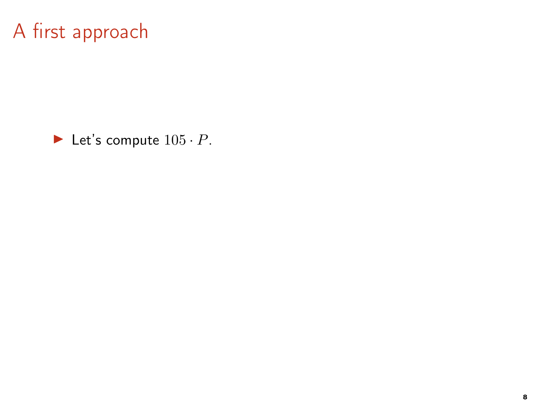$\blacktriangleright$  Let's compute  $105 \cdot P$ .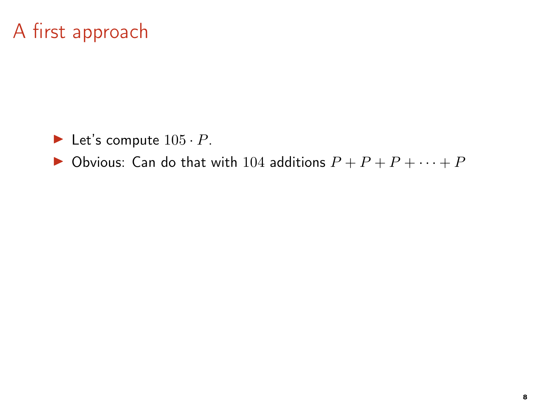- $\blacktriangleright$  Let's compute  $105 \cdot P$ .
- ▶ Obvious: Can do that with 104 additions  $P + P + P + \cdots + P$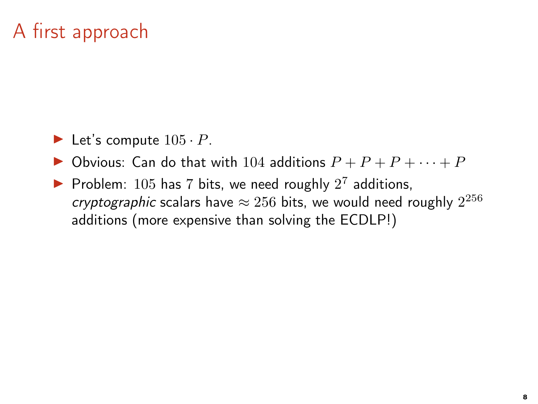- $\blacktriangleright$  Let's compute  $105 \cdot P$ .
- ▶ Obvious: Can do that with 104 additions  $P + P + P + \cdots + P$
- Problem:  $105$  has 7 bits, we need roughly  $2^7$  additions, cryptographic scalars have  $\approx 256$  bits, we would need roughly  $2^{256}$ additions (more expensive than solving the ECDLP!)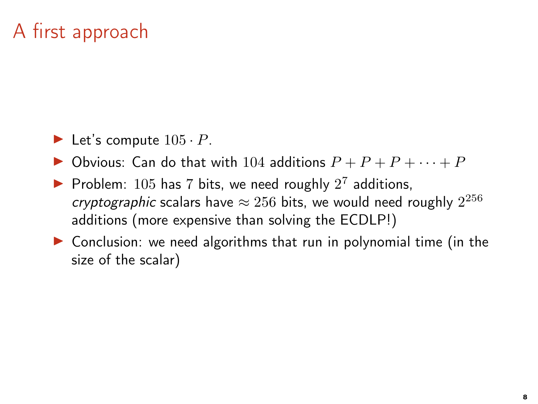- $\blacktriangleright$  Let's compute  $105 \cdot P$ .
- ▶ Obvious: Can do that with 104 additions  $P + P + P + \cdots + P$
- Problem:  $105$  has 7 bits, we need roughly  $2^7$  additions, cryptographic scalars have  $\approx 256$  bits, we would need roughly  $2^{256}$ additions (more expensive than solving the ECDLP!)
- $\triangleright$  Conclusion: we need algorithms that run in polynomial time (in the size of the scalar)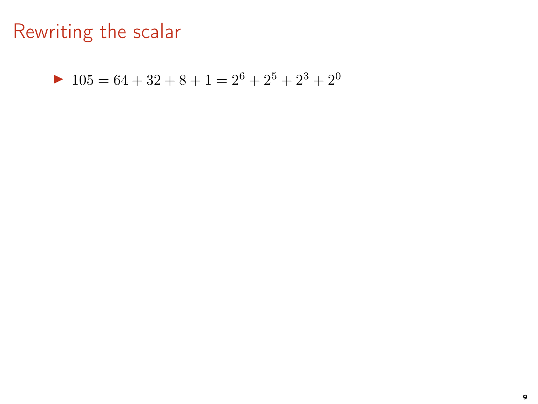$$
105 = 64 + 32 + 8 + 1 = 2^6 + 2^5 + 2^3 + 2^0
$$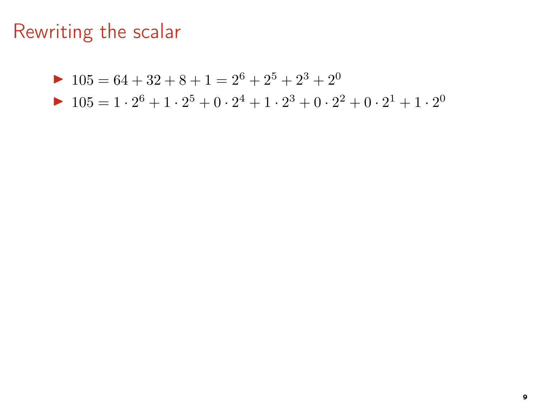$$
105 = 64 + 32 + 8 + 1 = 2^6 + 2^5 + 2^3 + 2^0
$$

$$
\blacktriangleright \ 105 = 1 \cdot 2^6 + 1 \cdot 2^5 + 0 \cdot 2^4 + 1 \cdot 2^3 + 0 \cdot 2^2 + 0 \cdot 2^1 + 1 \cdot 2^0
$$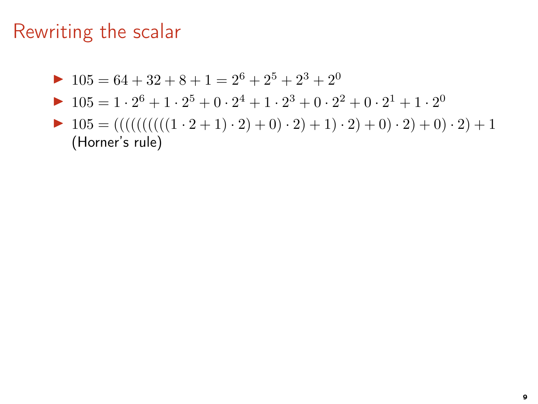▶ 105 = 
$$
64 + 32 + 8 + 1 = 2^6 + 2^5 + 2^3 + 2^0
$$

- ▶ 105 =  $1 \cdot 2^6 + 1 \cdot 2^5 + 0 \cdot 2^4 + 1 \cdot 2^3 + 0 \cdot 2^2 + 0 \cdot 2^1 + 1 \cdot 2^0$
- $\blacktriangleright$  105 = (((((((((((1 · 2 + 1) · 2) + 0) · 2) + 1) · 2) + 0) · 2) + 0) · 2) + 1 (Horner's rule)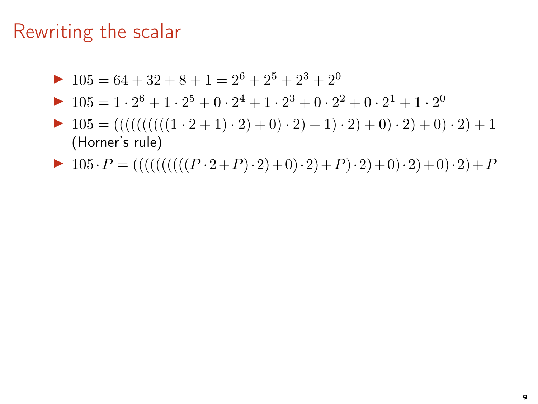- $\blacktriangleright$  105 = 64 + 32 + 8 + 1 = 2<sup>6</sup> + 2<sup>5</sup> + 2<sup>3</sup> + 2<sup>0</sup>
- ▶ 105 =  $1 \cdot 2^6 + 1 \cdot 2^5 + 0 \cdot 2^4 + 1 \cdot 2^3 + 0 \cdot 2^2 + 0 \cdot 2^1 + 1 \cdot 2^0$
- $\blacktriangleright$  105 = (((((((((((1 · 2 + 1) · 2) + 0) · 2) + 1) · 2) + 0) · 2) + 0) · 2) + 1 (Horner's rule)
- $\blacktriangleright$  105 ·  $P = ((((((((((P \cdot 2 + P) \cdot 2) + 0) \cdot 2) + P) \cdot 2) + 0) \cdot 2) + 0) \cdot 2) + P$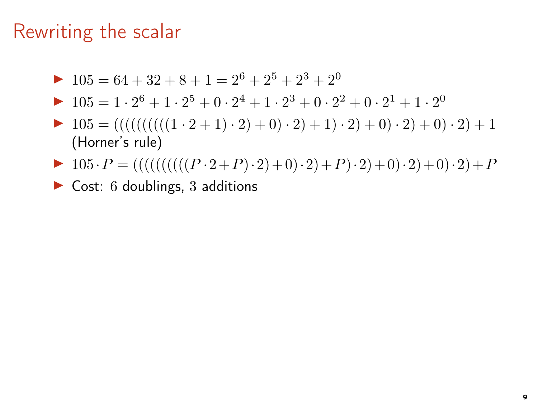- $\blacktriangleright$  105 = 64 + 32 + 8 + 1 = 2<sup>6</sup> + 2<sup>5</sup> + 2<sup>3</sup> + 2<sup>0</sup>
- ▶ 105 =  $1 \cdot 2^6 + 1 \cdot 2^5 + 0 \cdot 2^4 + 1 \cdot 2^3 + 0 \cdot 2^2 + 0 \cdot 2^1 + 1 \cdot 2^0$
- $\blacktriangleright$  105 = (((((((((((1 · 2 + 1) · 2) + 0) · 2) + 1) · 2) + 0) · 2) + 0) · 2) + 1 (Horner's rule)
- $\blacktriangleright$  105 ·  $P = ((((((((((((P \cdot 2 + P) \cdot 2) + 0) \cdot 2) + P) \cdot 2) + 0) \cdot 2) + 0) \cdot 2) + P$
- $\triangleright$  Cost: 6 doublings, 3 additions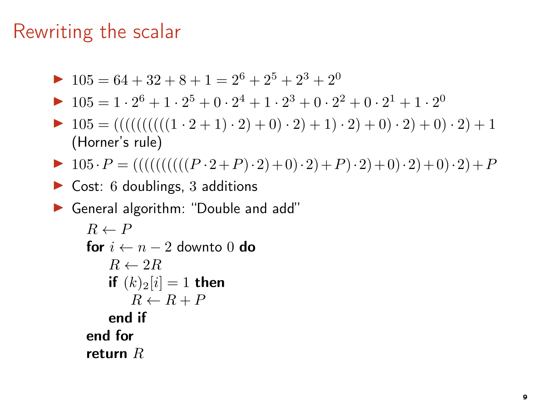$$
105 = 64 + 32 + 8 + 1 = 2^6 + 2^5 + 2^3 + 2^0
$$

- ▶ 105 =  $1 \cdot 2^6 + 1 \cdot 2^5 + 0 \cdot 2^4 + 1 \cdot 2^3 + 0 \cdot 2^2 + 0 \cdot 2^1 + 1 \cdot 2^0$
- $\blacktriangleright$  105 = (((((((((((1 · 2 + 1) · 2) + 0) · 2) + 1) · 2) + 0) · 2) + 0) · 2) + 1 (Horner's rule)
- $\blacktriangleright$  105 ·  $P = ((((((((((((P \cdot 2 + P) \cdot 2) + 0) \cdot 2) + P) \cdot 2) + 0) \cdot 2) + 0) \cdot 2) + P$
- $\triangleright$  Cost: 6 doublings, 3 additions
- ▶ General algorithm: "Double and add"

```
R \leftarrow Pfor i \leftarrow n - 2 downto 0 do
    R \leftarrow 2Rif (k)_2[i] = 1 then
        R \leftarrow R + Pend if
end for
return R
```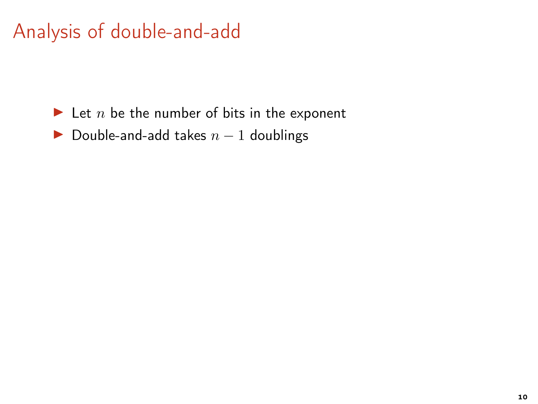- $\blacktriangleright$  Let *n* be the number of bits in the exponent
- Double-and-add takes  $n 1$  doublings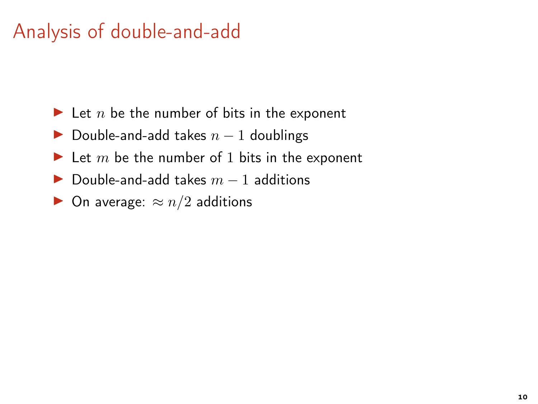- $\blacktriangleright$  Let n be the number of bits in the exponent
- Double-and-add takes  $n 1$  doublings
- $\blacktriangleright$  Let m be the number of 1 bits in the exponent
- ▶ Double-and-add takes  $m 1$  additions
- ▶ On average:  $\approx n/2$  additions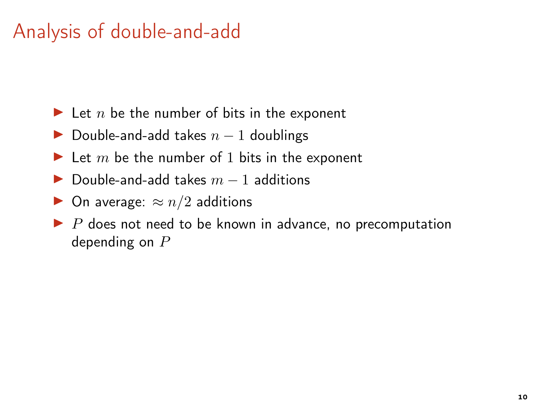- $\blacktriangleright$  Let n be the number of bits in the exponent
- Double-and-add takes  $n 1$  doublings
- $\blacktriangleright$  Let m be the number of 1 bits in the exponent
- $\triangleright$  Double-and-add takes  $m 1$  additions
- $\triangleright$  On average:  $\approx n/2$  additions
- $\blacktriangleright$  P does not need to be known in advance, no precomputation depending on  $P$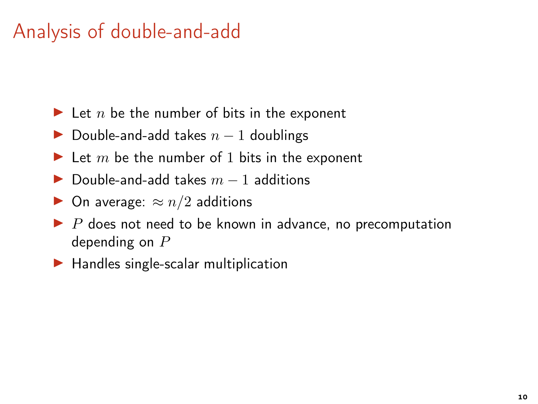- $\blacktriangleright$  Let n be the number of bits in the exponent
- Double-and-add takes  $n 1$  doublings
- $\blacktriangleright$  Let m be the number of 1 bits in the exponent
- $\triangleright$  Double-and-add takes  $m 1$  additions
- $\triangleright$  On average:  $\approx n/2$  additions
- $\blacktriangleright$  P does not need to be known in advance, no precomputation depending on  $P$
- $\blacktriangleright$  Handles single-scalar multiplication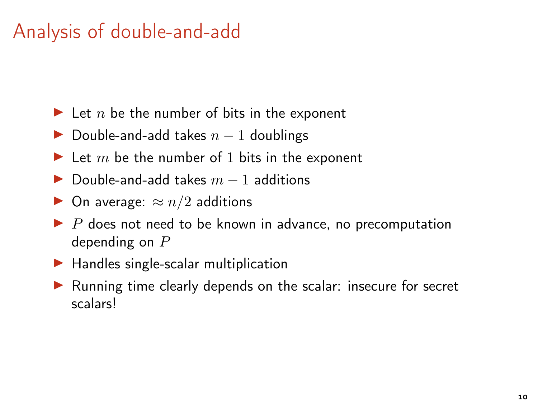- $\blacktriangleright$  Let n be the number of bits in the exponent
- Double-and-add takes  $n 1$  doublings
- $\blacktriangleright$  Let m be the number of 1 bits in the exponent
- $\triangleright$  Double-and-add takes  $m 1$  additions
- $\triangleright$  On average:  $\approx n/2$  additions
- $\blacktriangleright$  P does not need to be known in advance, no precomputation depending on P
- $\blacktriangleright$  Handles single-scalar multiplication
- ▶ Running time clearly depends on the scalar: insecure for secret scalars!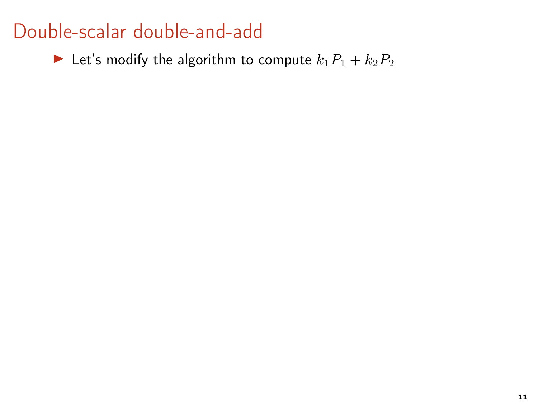#### Double-scalar double-and-add

 $\blacktriangleright$  Let's modify the algorithm to compute  $k_1P_1 + k_2P_2$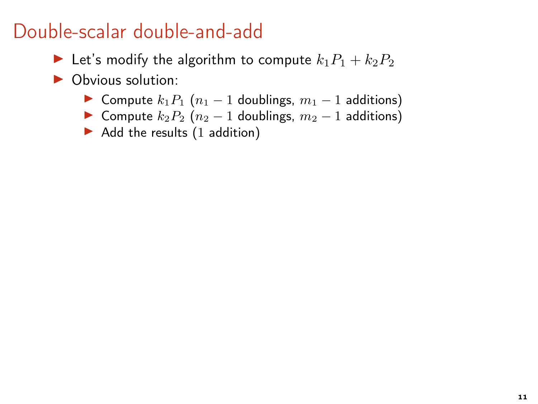#### Double-scalar double-and-add

- Example 1 Let's modify the algorithm to compute  $k_1P_1 + k_2P_2$
- ▶ Obvious solution:
	- ► Compute  $k_1P_1$   $(n_1 1)$  doublings,  $m_1 1$  additions)
	- ► Compute  $k_2P_2$  ( $n_2-1$  doublings,  $m_2-1$  additions)
	- $\blacktriangleright$  Add the results (1 addition)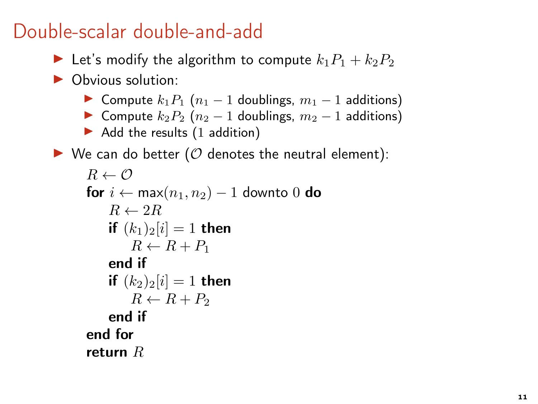#### Double-scalar double-and-add

- Example Let's modify the algorithm to compute  $k_1P_1 + k_2P_2$
- ▶ Obvious solution:
	- ► Compute  $k_1P_1$   $(n_1 1)$  doublings,  $m_1 1$  additions)
	- ► Compute  $k_2P_2$   $(n_2 1)$  doublings,  $m_2 1$  additions)
	- $\blacktriangleright$  Add the results (1 addition)
- $\triangleright$  We can do better (O denotes the neutral element):

```
R \leftarrow \mathcal{O}for i \leftarrow max(n_1, n_2) - 1 downto 0 do
    R \leftarrow 2Rif (k_1)_2[i] = 1 then
        R \leftarrow R + P_1end if
    if (k_2)_2[i] = 1 then
        R \leftarrow R + P_2end if
end for
return R
```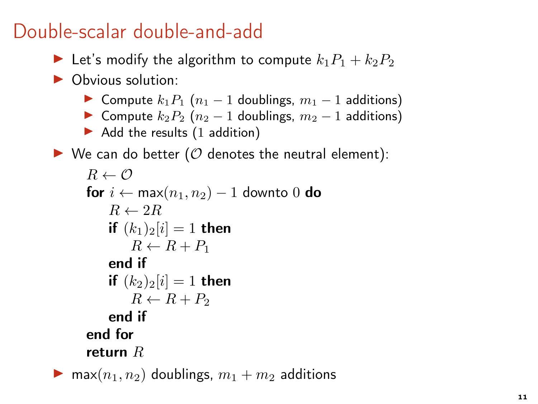## Double-scalar double-and-add

- Example Let's modify the algorithm to compute  $k_1P_1 + k_2P_2$
- ▶ Obvious solution:
	- ► Compute  $k_1P_1$   $(n_1 1)$  doublings,  $m_1 1$  additions)
	- ► Compute  $k_2P_2$  ( $n_2-1$  doublings,  $m_2-1$  additions)
	- $\blacktriangleright$  Add the results (1 addition)
- $\triangleright$  We can do better (O denotes the neutral element):

```
R \leftarrow \mathcal{O}for i ← max(n_1, n_2) – 1 downto 0 do
          R \leftarrow 2Rif (k_1)_2[i] = 1 then
              R \leftarrow R + P_1end if
          if (k_2)_2[i] = 1 then
              R \leftarrow R + P_2end if
      end for
      return R• max(n_1, n_2) doublings, m_1 + m_2 additions
```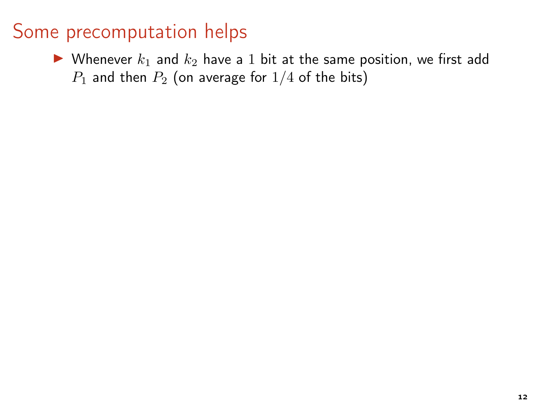## Some precomputation helps

 $\blacktriangleright$  Whenever  $k_1$  and  $k_2$  have a 1 bit at the same position, we first add  $P_1$  and then  $P_2$  (on average for  $1/4$  of the bits)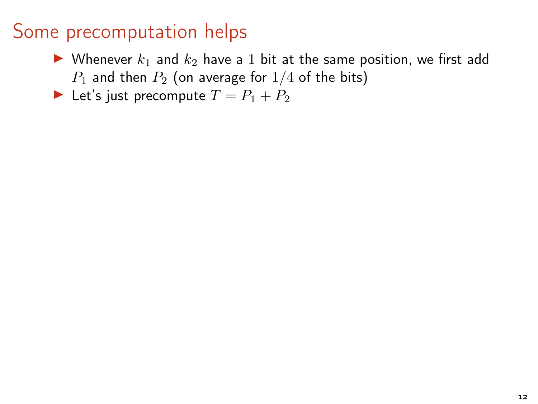### Some precomputation helps

 $\triangleright$  Whenever  $k_1$  and  $k_2$  have a 1 bit at the same position, we first add  $P_1$  and then  $P_2$  (on average for  $1/4$  of the bits)

Let's just precompute  $T = P_1 + P_2$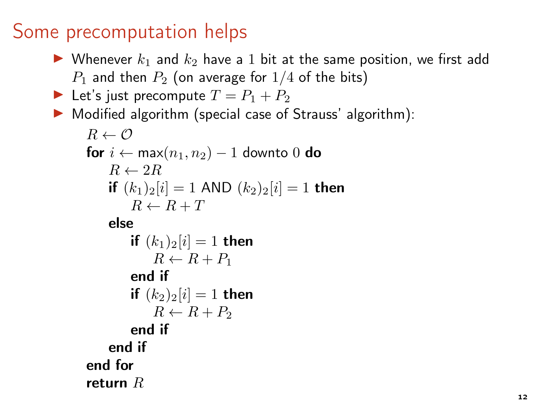## Some precomputation helps

- $\blacktriangleright$  Whenever  $k_1$  and  $k_2$  have a 1 bit at the same position, we first add  $P_1$  and then  $P_2$  (on average for  $1/4$  of the bits)
- Let's just precompute  $T = P_1 + P_2$
- ▶ Modified algorithm (special case of Strauss' algorithm):

```
B \leftarrow \emptysetfor i ← max(n_1, n_2) – 1 downto 0 do
    R \leftarrow 2Rif (k_1)_2[i] = 1 AND (k_2)_2[i] = 1 then
        R \leftarrow R + Telse
        if (k_1)_2[i] = 1 then
            R \leftarrow R + P_1end if
        if (k_2)_2[i] = 1 then
            R \leftarrow R + P_2end if
    end if
end for
return R
```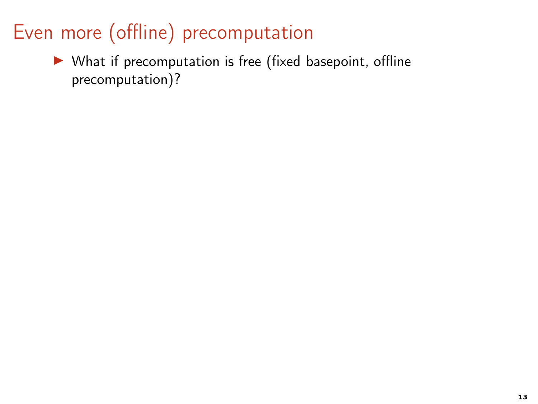▶ What if precomputation is free (fixed basepoint, offline precomputation)?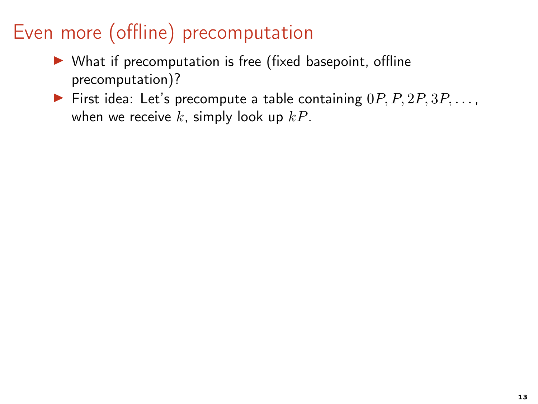- $\blacktriangleright$  What if precomputation is free (fixed basepoint, offline precomputation)?
- First idea: Let's precompute a table containing  $0P, P, 2P, 3P, \ldots$ , when we receive k, simply look up  $kP$ .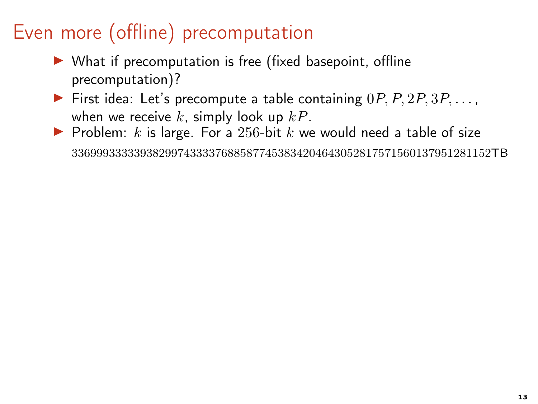- ▶ What if precomputation is free (fixed basepoint, offline precomputation)?
- First idea: Let's precompute a table containing  $0P, P, 2P, 3P, \ldots$ , when we receive k, simply look up  $kP$ .
- ▶ Problem:  $k$  is large. For a 256-bit  $k$  we would need a table of size 3369993333393829974333376885877453834204643052817571560137951281152TB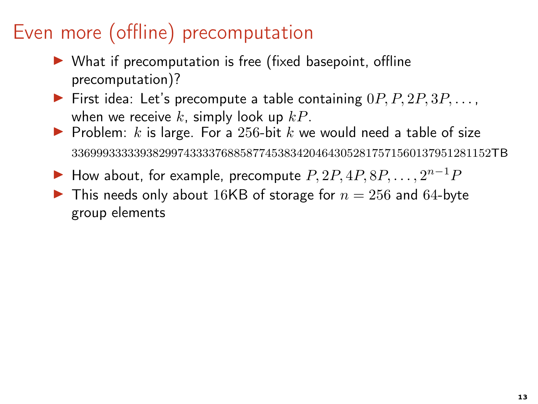- ▶ What if precomputation is free (fixed basepoint, offline precomputation)?
- First idea: Let's precompute a table containing  $0P, P, 2P, 3P, \ldots$ , when we receive k, simply look up  $kP$ .
- ▶ Problem:  $k$  is large. For a 256-bit  $k$  we would need a table of size 3369993333393829974333376885877453834204643052817571560137951281152TB
- $\blacktriangleright$  How about, for example, precompute  $P, 2P, 4P, 8P, \ldots, 2^{n-1}P$
- $\blacktriangleright$  This needs only about 16KB of storage for  $n = 256$  and 64-byte group elements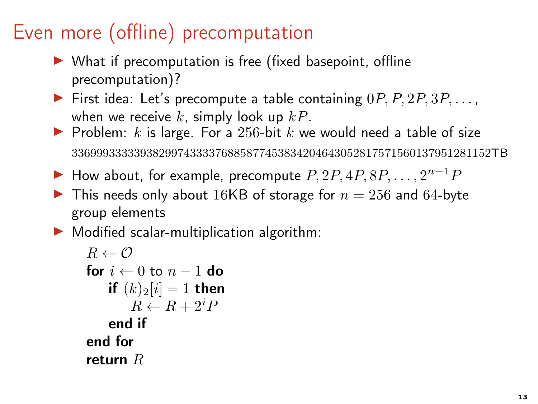- ▶ What if precomputation is free (fixed basepoint, offline precomputation)?
- First idea: Let's precompute a table containing  $0P, P, 2P, 3P, \ldots$ , when we receive  $k$ , simply look up  $kP$ .
- ▶ Problem:  $k$  is large. For a 256-bit  $k$  we would need a table of size 3369993333393829974333376885877453834204643052817571560137951281152TB
- $\blacktriangleright$  How about, for example, precompute  $P, 2P, 4P, 8P, \ldots, 2^{n-1}P$
- $\blacktriangleright$  This needs only about 16KB of storage for  $n = 256$  and 64-byte group elements
- $\triangleright$  Modified scalar-multiplication algorithm:

```
R \leftarrow \mathcal{O}for i \leftarrow 0 to n - 1 do
    if (k)_2[i] = 1 then
         R \leftarrow R + 2^{i}Pend if
end for
return R
```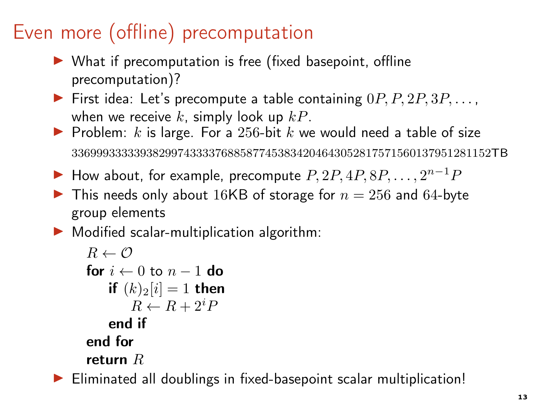- ▶ What if precomputation is free (fixed basepoint, offline precomputation)?
- First idea: Let's precompute a table containing  $0P, P, 2P, 3P, \ldots$ , when we receive  $k$ , simply look up  $kP$ .
- ▶ Problem:  $k$  is large. For a 256-bit  $k$  we would need a table of size 3369993333393829974333376885877453834204643052817571560137951281152TB
- $\blacktriangleright$  How about, for example, precompute  $P, 2P, 4P, 8P, \ldots, 2^{n-1}P$
- $\blacktriangleright$  This needs only about 16KB of storage for  $n = 256$  and 64-byte group elements
- $\triangleright$  Modified scalar-multiplication algorithm:

```
R \leftarrow \mathcal{O}for i \leftarrow 0 to n - 1 do
    if (k)_2[i] = 1 then
         R \leftarrow R + 2^{i}Pend if
end for
return R
```
▶ Eliminated all doublings in fixed-basepoint scalar multiplication!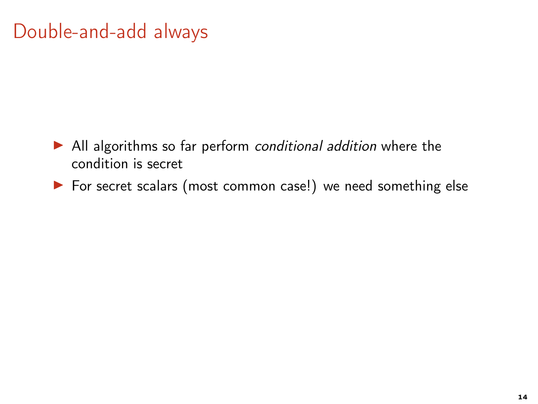- ▶ All algorithms so far perform conditional addition where the condition is secret
- ▶ For secret scalars (most common case!) we need something else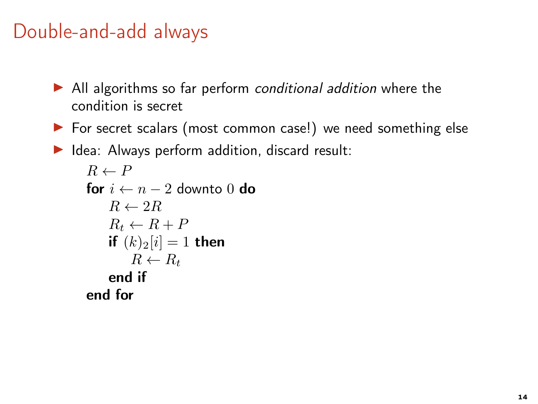- ▶ All algorithms so far perform conditional addition where the condition is secret
- ▶ For secret scalars (most common case!) we need something else

 $\blacktriangleright$  Idea: Always perform addition, discard result:

```
R \leftarrow Pfor i \leftarrow n - 2 downto 0 do
    R \leftarrow 2RR_t \leftarrow R + Pif (k)_2[i] = 1 then
         R \leftarrow R_tend if
end for
```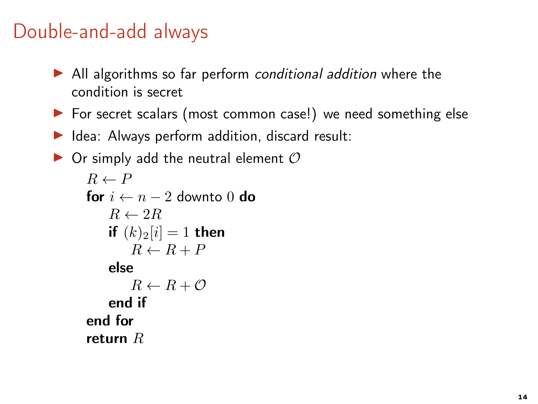- $\triangleright$  All algorithms so far perform conditional addition where the condition is secret
- ▶ For secret scalars (most common case!) we need something else
- $\blacktriangleright$  Idea: Always perform addition, discard result:

```
\triangleright Or simply add the neutral element \mathcal OR \leftarrow Pfor i \leftarrow n - 2 downto 0 do
           R \leftarrow 2Rif (k)_2[i] = 1 then
                R \leftarrow R + Pelse
                R \leftarrow R + \mathcal{O}end if
       end for
       return R
```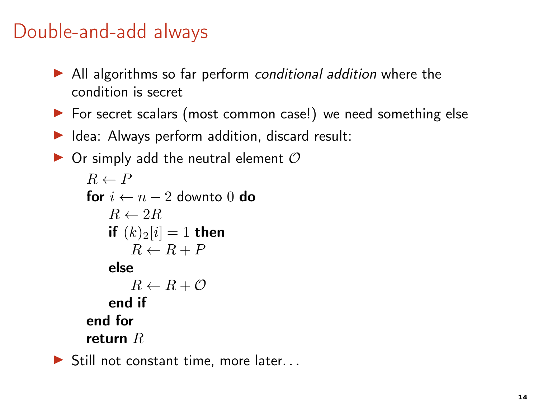- $\triangleright$  All algorithms so far perform conditional addition where the condition is secret
- ▶ For secret scalars (most common case!) we need something else
- $\blacktriangleright$  Idea: Always perform addition, discard result:

```
\triangleright Or simply add the neutral element \mathcal OR \leftarrow Pfor i \leftarrow n - 2 downto 0 do
           R \leftarrow 2Rif (k)_2[i] = 1 then
                R \leftarrow R + Pelse
                R \leftarrow R + \mathcal{O}end if
       end for
       return R
```
 $\blacktriangleright$  Still not constant time, more later...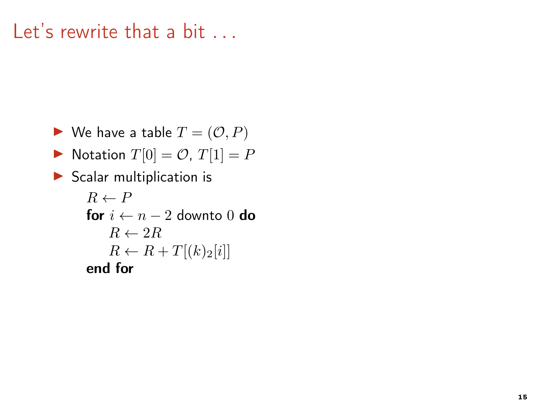## Let's rewrite that a bit

- $\blacktriangleright$  We have a table  $T = (\mathcal{O}, P)$
- $\blacktriangleright$  Notation  $T[0] = \mathcal{O}, T[1] = P$
- $\blacktriangleright$  Scalar multiplication is

```
R \leftarrow Pfor i \leftarrow n - 2 downto 0 do
    R \leftarrow 2RR \leftarrow R + T[(k)_2[i]]end for
```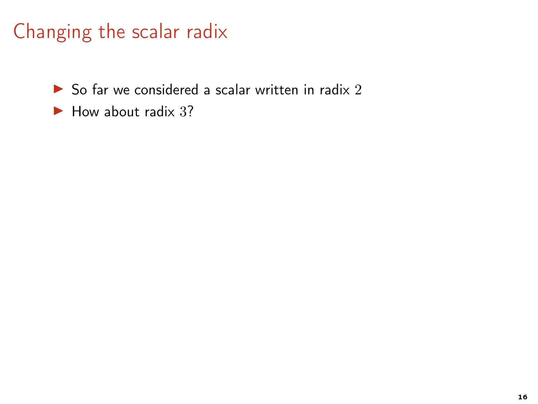$\triangleright$  So far we considered a scalar written in radix 2

 $\blacktriangleright$  How about radix 3?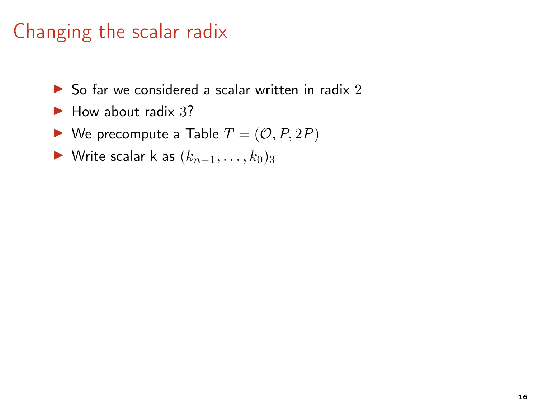- $\triangleright$  So far we considered a scalar written in radix 2
- $\blacktriangleright$  How about radix 3?
- $\blacktriangleright$  We precompute a Table  $T = (\mathcal{O}, P, 2P)$
- ► Write scalar k as  $(k_{n-1}, \ldots, k_0)_3$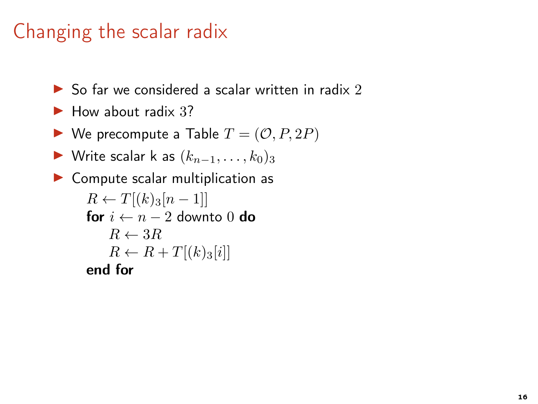- $\triangleright$  So far we considered a scalar written in radix 2
- $\blacktriangleright$  How about radix 3?
- $\blacktriangleright$  We precompute a Table  $T = (\mathcal{O}, P, 2P)$
- ► Write scalar k as  $(k_{n-1}, \ldots, k_0)_3$

```
▶ Compute scalar multiplication as
      R \leftarrow T[(k)_3[n-1]]for i \leftarrow n - 2 downto 0 do
          R \leftarrow 3RR \leftarrow R + T[(k)_3[i]]end for
```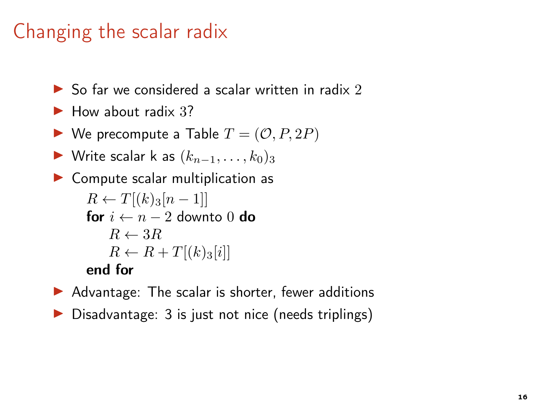- $\triangleright$  So far we considered a scalar written in radix 2
- $\blacktriangleright$  How about radix 3?
- $\blacktriangleright$  We precompute a Table  $T = (\mathcal{O}, P, 2P)$
- ► Write scalar k as  $(k_{n-1}, \ldots, k_0)_3$

```
\triangleright Compute scalar multiplication as
      R \leftarrow T[(k)_3[n-1]]for i \leftarrow n - 2 downto 0 do
           R \leftarrow 3RR \leftarrow R + T[(k)_3[i]]end for
```
- $\blacktriangleright$  Advantage: The scalar is shorter, fewer additions
- ▶ Disadvantage: 3 is just not nice (needs triplings)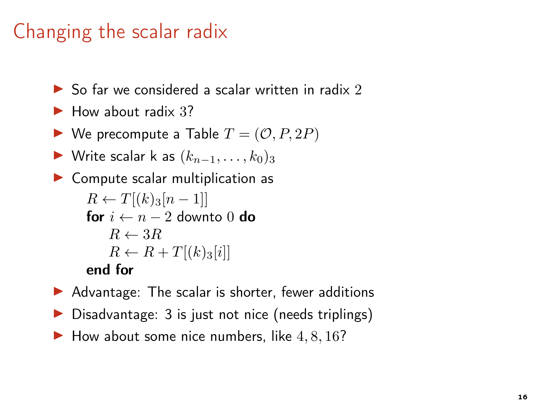- $\triangleright$  So far we considered a scalar written in radix 2
- $\blacktriangleright$  How about radix 3?
- $\blacktriangleright$  We precompute a Table  $T = (\mathcal{O}, P, 2P)$
- ► Write scalar k as  $(k_{n-1}, \ldots, k_0)_3$

```
\triangleright Compute scalar multiplication as
      R \leftarrow T[(k)_3[n-1]]for i \leftarrow n - 2 downto 0 do
           R \leftarrow 3RR \leftarrow R + T[(k)_3[i]]end for
```
- $\blacktriangleright$  Advantage: The scalar is shorter, fewer additions
- ▶ Disadvantage: 3 is just not nice (needs triplings)
- $\blacktriangleright$  How about some nice numbers, like  $4, 8, 16$ ?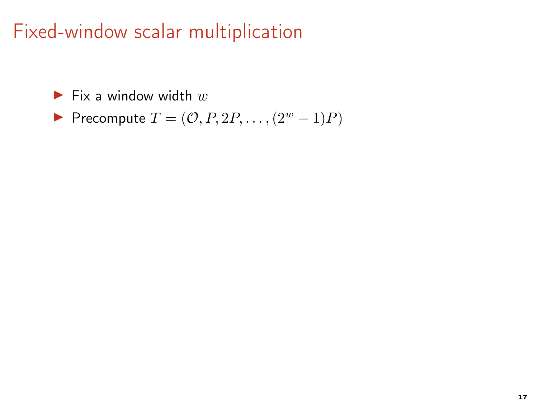## Fixed-window scalar multiplication

 $\blacktriangleright$  Fix a window width  $w$ 

$$
\blacktriangleright \text{ Precompute } T = (\mathcal{O}, P, 2P, \dots, (2^w - 1)P)
$$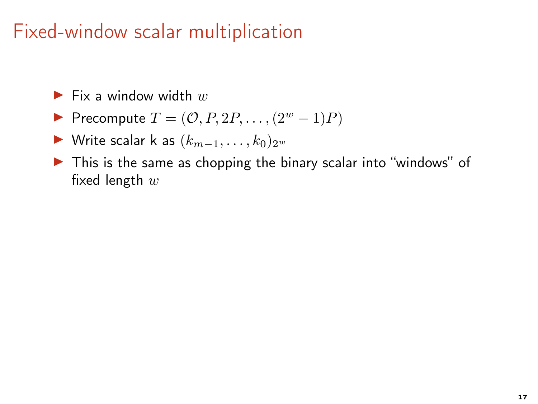## Fixed-window scalar multiplication

 $\blacktriangleright$  Fix a window width w

Precompute  $T = (O, P, 2P, \ldots, (2^w - 1)P)$ 

► Write scalar k as  $(k_{m-1}, \ldots, k_0)_{2^w}$ 

▶ This is the same as chopping the binary scalar into "windows" of fixed length  $w$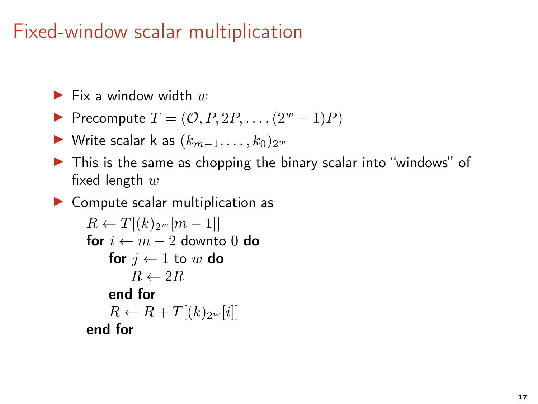## Fixed-window scalar multiplication

```
\blacktriangleright Fix a window width w
```
- Precompute  $T = (\mathcal{O}, P, 2P, \ldots, (2^w 1)P)$
- ► Write scalar k as  $(k_{m-1}, \ldots, k_0)_{2w}$
- ▶ This is the same as chopping the binary scalar into "windows" of fixed length  $w$

 $\triangleright$  Compute scalar multiplication as

```
R \leftarrow T[(k)_{2^w}[m-1]]for i \leftarrow m - 2 downto 0 do
    for j \leftarrow 1 to w do
         R \leftarrow 2Rend for
    R \leftarrow R + T[(k)_{2^w}[i]]end for
```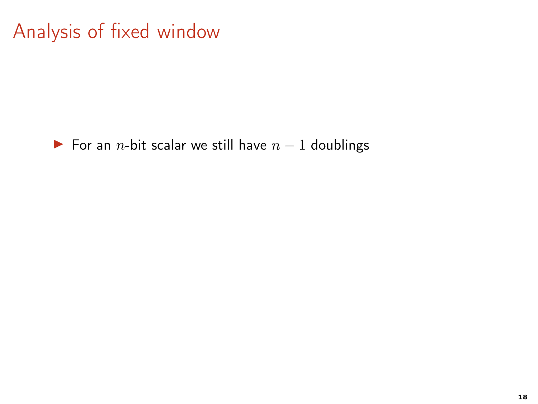For an *n*-bit scalar we still have  $n - 1$  doublings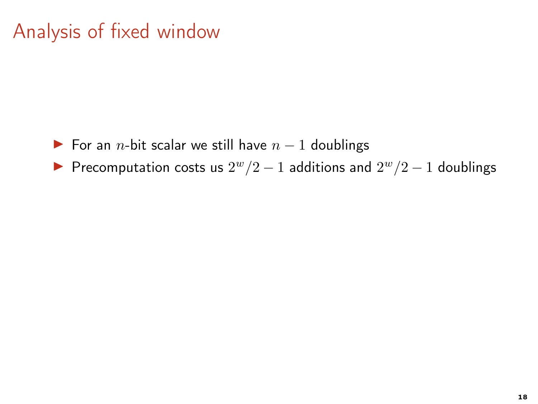- For an *n*-bit scalar we still have  $n 1$  doublings
- ▶ Precomputation costs us  $2^w/2 1$  additions and  $2^w/2 1$  doublings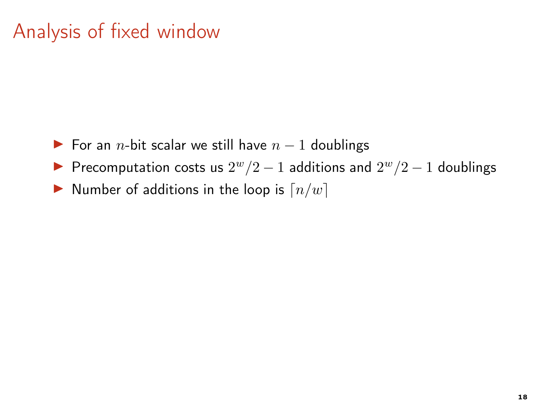- ► For an *n*-bit scalar we still have  $n 1$  doublings
- ▶ Precomputation costs us  $2^w/2 1$  additions and  $2^w/2 1$  doublings
- $\blacktriangleright$  Number of additions in the loop is  $\lceil n/w \rceil$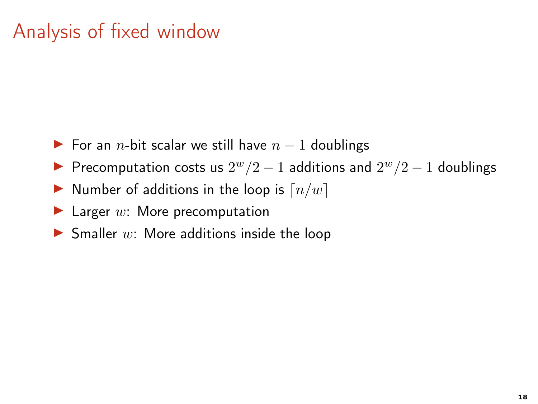- ► For an *n*-bit scalar we still have  $n 1$  doublings
- ▶ Precomputation costs us  $2^w/2 1$  additions and  $2^w/2 1$  doublings
- $\blacktriangleright$  Number of additions in the loop is  $\lceil n/w \rceil$
- $\blacktriangleright$  Larger w: More precomputation
- $\blacktriangleright$  Smaller w: More additions inside the loop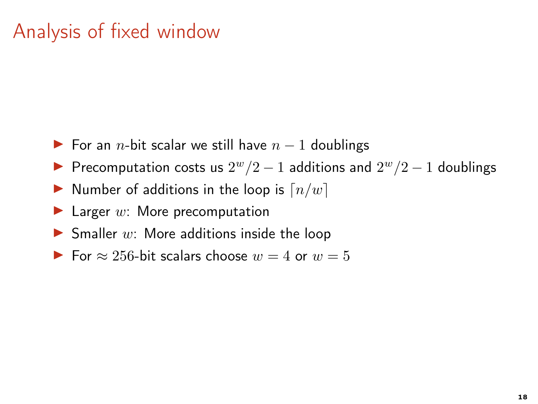- ► For an *n*-bit scalar we still have  $n 1$  doublings
- ▶ Precomputation costs us  $2^w/2 1$  additions and  $2^w/2 1$  doublings
- $\blacktriangleright$  Number of additions in the loop is  $\lceil n/w \rceil$
- $\blacktriangleright$  Larger w: More precomputation
- $\blacktriangleright$  Smaller w: More additions inside the loop
- For  $\approx 256$ -bit scalars choose  $w = 4$  or  $w = 5$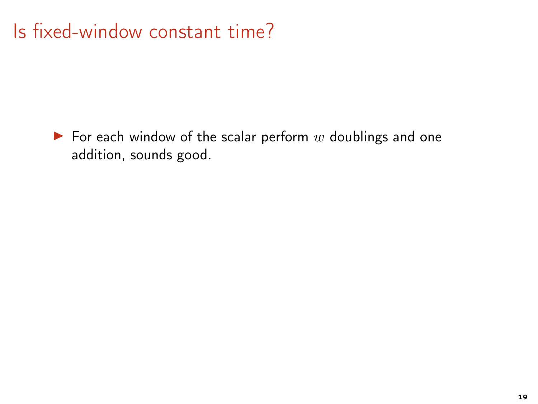# Is fixed-window constant time?

 $\blacktriangleright$  For each window of the scalar perform w doublings and one addition, sounds good.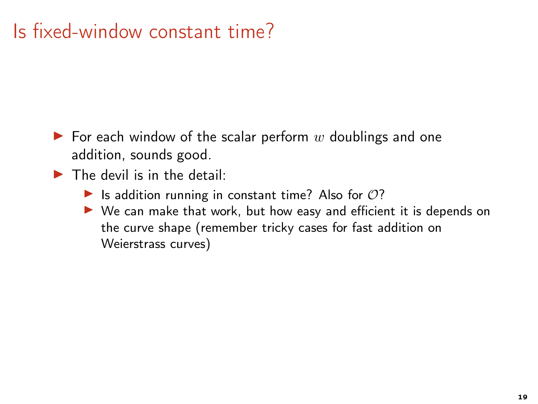# Is fixed-window constant time?

- $\blacktriangleright$  For each window of the scalar perform w doublings and one addition, sounds good.
- $\blacktriangleright$  The devil is in the detail:
	- $\blacktriangleright$  Is addition running in constant time? Also for  $O$ ?
	- ▶ We can make that work, but how easy and efficient it is depends on the curve shape (remember tricky cases for fast addition on Weierstrass curves)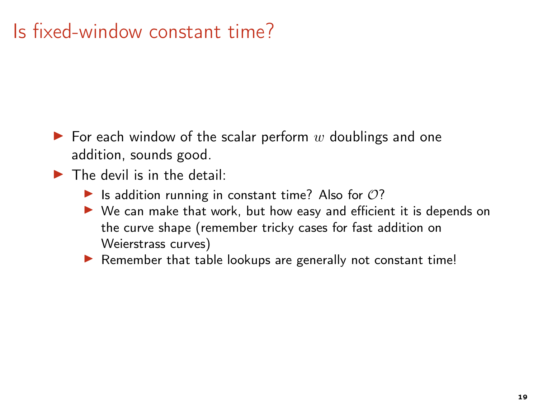# Is fixed-window constant time?

- $\blacktriangleright$  For each window of the scalar perform w doublings and one addition, sounds good.
- $\blacktriangleright$  The devil is in the detail:
	- Is addition running in constant time? Also for  $O$ ?
	- ▶ We can make that work, but how easy and efficient it is depends on the curve shape (remember tricky cases for fast addition on Weierstrass curves)
	- $\blacktriangleright$  Remember that table lookups are generally not constant time!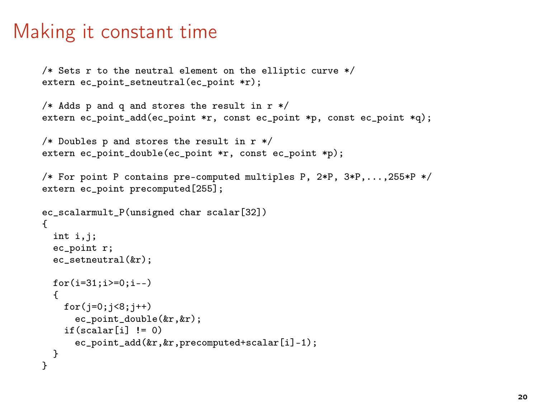#### Making it constant time

```
/* Sets r to the neutral element on the elliptic curve */
extern ec_point_setneutral(ec_point *r);
```

```
/* Adds p and q and stores the result in r */
extern ec_point_add(ec_point *r, const ec_point *p, const ec_point *q);
```

```
/* Doubles p and stores the result in r */
extern ec_point_double(ec_point *r, const ec_point *p);
```

```
/* For point P contains pre-computed multiples P, 2*P, 3*P,...,255*P */
extern ec_point precomputed[255];
```

```
ec_scalarmult_P(unsigned char scalar[32])
{
  int i.j;
 ec_point r;
  ec_setneutral(&r);
 for(i=31;i>=0;i--){
   for(j=0; j<8; j++)ec_point_double(&r,&r);
    if(scalar[i] != 0)ec_point_add(&r,&r,precomputed+scalar[i]-1);
 }
}
```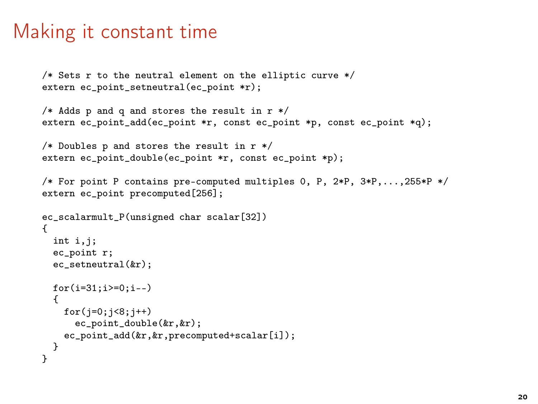### Making it constant time

```
/* Sets r to the neutral element on the elliptic curve */
extern ec point setneutral(ec point *r);
```

```
/* Adds p and q and stores the result in r */
extern ec_point_add(ec_point *r, const ec_point *p, const ec_point *q);
```

```
/* Doubles p and stores the result in r */
extern ec_point_double(ec_point *r, const ec_point *p);
```

```
/* For point P contains pre-computed multiples 0, P, 2*P, 3*P,...,255*P */
extern ec point precomputed[256];
```

```
ec_scalarmult_P(unsigned char scalar[32])
{
 int i.j;
 ec_point r;
  ec_setneutral(kr);
 for(i=31; i>=0; i--){
    for(i=0; i<8; i++)ec_point_double(&r,&r);
    ec_point_add(&r, &r, precomputed+scalar[i]);
  }
}
```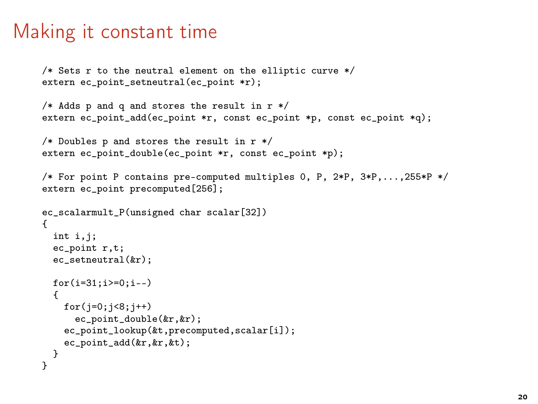### Making it constant time

```
/* Sets r to the neutral element on the elliptic curve */
extern ec_point_setneutral(ec_point *r);
```

```
/* Adds p and q and stores the result in r */
extern ec_point_add(ec_point *r, const ec_point *p, const ec_point *q);
```

```
/* Doubles p and stores the result in r */
extern ec_point_double(ec_point *r, const ec_point *p);
```

```
/* For point P contains pre-computed multiples 0, P, 2*P, 3*P,...,255*P */
extern ec_point precomputed[256];
```

```
ec_scalarmult_P(unsigned char scalar[32])
{
  int i.j;
 ec_point r,t;
  ec_setneutral(&r);
 for(i=31;i>=0;i--){
   for(j=0; j<8; j++)ec_point_double(&r,&r);
    ec_point_lookup(&t.precomputed.scalar[i]);
   ec_point_add(&r,&r,&t);
  }
}
```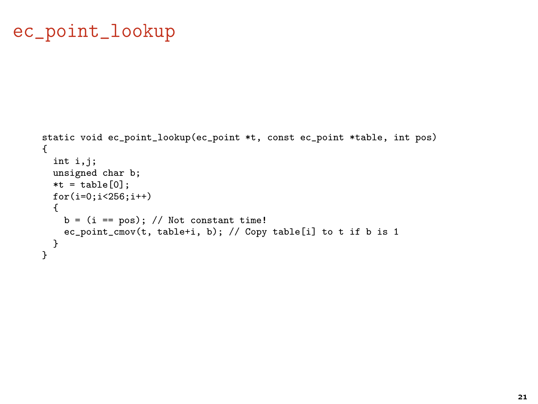### ec\_point\_lookup

```
static void ec_point_lookup(ec_point *t, const ec_point *table, int pos)
{
 int i,j;
 unsigned char b;
 *t = table[0];for(i=0;i<256;i++)
 {
   b = (i == pos); // Not constant time!ec_point_cmov(t, table+i, b); // Copy table[i] to t if b is 1
 }
}
```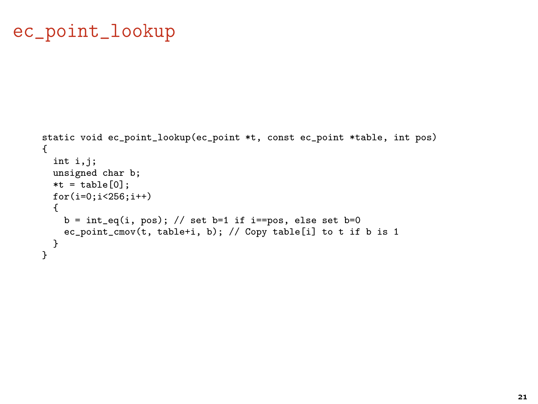### ec\_point\_lookup

```
static void ec_point_lookup(ec_point *t, const ec_point *table, int pos)
{
 int i,j;
 unsigned char b;
 *t = table[0];for(i=0;i<256;i++)
 {
   b = int_eq(i, pos); // set b=1 if i=pos, else set b=0ec_point_cmov(t, table+i, b); // Copy table[i] to t if b is 1
 }
}
```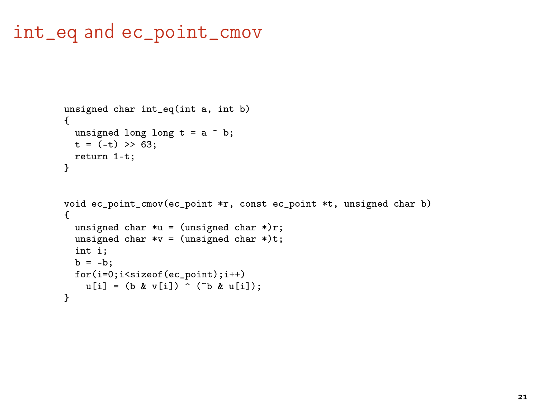#### int\_eq and ec\_point\_cmov

```
unsigned char int_eq(int a, int b)
{
 unsigned long long t = a \hat{b};
 t = (-t) \gg 63;
 return 1-t;
}
void ec_point_cmov(ec_point *r, const ec_point *t, unsigned char b)
{
  unsigned char *u = (unsigned char * )r;unsigned char *v = (unsigned char *) t;int i;
  b = -b;
  for(i=0;i<sizeof(ec_point);i++)
    u[i] = (b \& v[i]) \land (b \& u[i]);}
```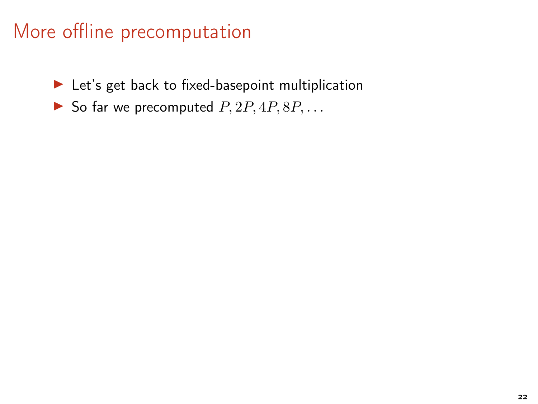- ▶ Let's get back to fixed-basepoint multiplication
- So far we precomputed  $P$ ,  $2P$ ,  $4P$ ,  $8P$ , ...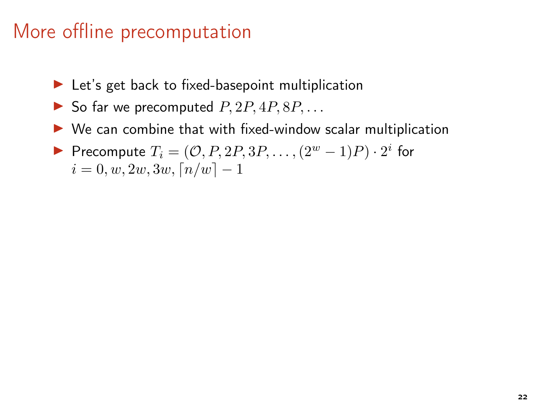- $\blacktriangleright$  Let's get back to fixed-basepoint multiplication
- $\triangleright$  So far we precomputed  $P, 2P, 4P, 8P, \ldots$
- $\triangleright$  We can combine that with fixed-window scalar multiplication
- Precompute  $T_i = (\mathcal{O}, P, 2P, 3P, \dots, (2^w 1)P) \cdot 2^i$  for  $i = 0, w, 2w, 3w, \lceil n/w \rceil - 1$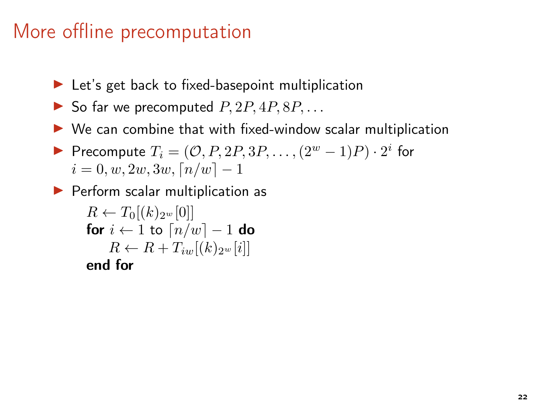- $\blacktriangleright$  Let's get back to fixed-basepoint multiplication
- $\triangleright$  So far we precomputed  $P$ ,  $2P$ ,  $4P$ ,  $8P$ , ...
- $\triangleright$  We can combine that with fixed-window scalar multiplication
- Precompute  $T_i = (\mathcal{O}, P, 2P, 3P, \dots, (2^w 1)P) \cdot 2^i$  for  $i = 0, w, 2w, 3w, \lceil n/w \rceil - 1$
- ▶ Perform scalar multiplication as

 $R \leftarrow T_0[(k)_{2^w}[0]]$ for  $i \leftarrow 1$  to  $\lceil n/w \rceil - 1$  do  $R \leftarrow R + T_{iw}[(k)_{2^w}[i]]$ end for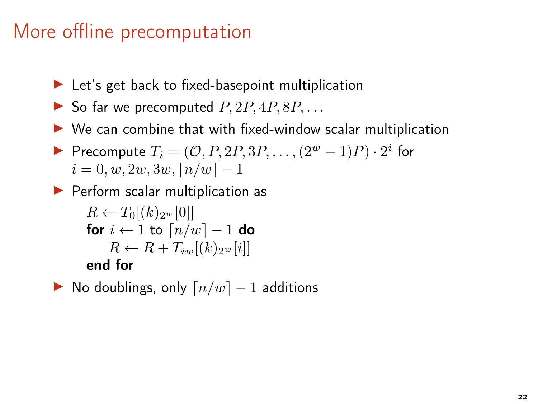- $\blacktriangleright$  Let's get back to fixed-basepoint multiplication
- $\triangleright$  So far we precomputed  $P, 2P, 4P, 8P, \ldots$
- $\triangleright$  We can combine that with fixed-window scalar multiplication
- Precompute  $T_i = (\mathcal{O}, P, 2P, 3P, \dots, (2^w 1)P) \cdot 2^i$  for  $i = 0, w, 2w, 3w, \lceil n/w \rceil - 1$
- ▶ Perform scalar multiplication as

$$
\begin{array}{c} R \leftarrow T_0[(k)_{2^w}[0]] \\ \textbf{for } i \leftarrow 1 \textbf{ to } \lceil n/w \rceil - 1 \textbf{ do} \\ R \leftarrow R + T_{iw}[(k)_{2^w}[i]] \\ \textbf{end for} \end{array}
$$

 $\triangleright$  No doublings, only  $\lceil n/w \rceil - 1$  additions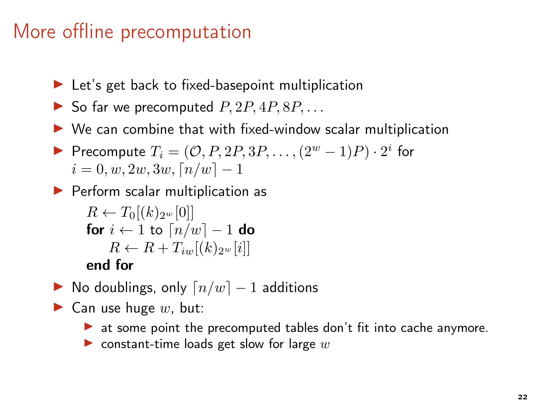- $\blacktriangleright$  Let's get back to fixed-basepoint multiplication
- $\triangleright$  So far we precomputed  $P$ ,  $2P$ ,  $4P$ ,  $8P$ , ...
- $\triangleright$  We can combine that with fixed-window scalar multiplication
- Precompute  $T_i = (\mathcal{O}, P, 2P, 3P, \dots, (2^w 1)P) \cdot 2^i$  for  $i = 0, w, 2w, 3w, \lceil n/w \rceil - 1$
- ▶ Perform scalar multiplication as

```
R \leftarrow T_0[(k)_{2^w}[0]]for i \leftarrow 1 to \lceil n/w \rceil - 1 do
     R \leftarrow R + T_{iw}[(k)_{2^w}[i]]end for
```
- $\triangleright$  No doublings, only  $\lceil n/w \rceil 1$  additions
- $\blacktriangleright$  Can use huge w, but:
	- ▶ at some point the precomputed tables don't fit into cache anymore.
	- ighthroof constant-time loads get slow for large  $w$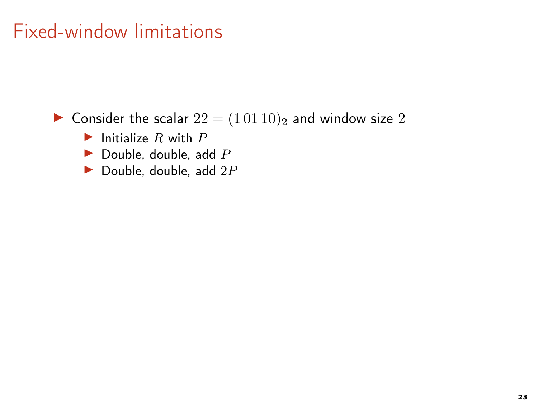▶ Consider the scalar  $22 = (10110)_2$  and window size 2

- Initialize R with  $P$
- $\blacktriangleright$  Double, double, add  $P$
- Double, double, add  $2P$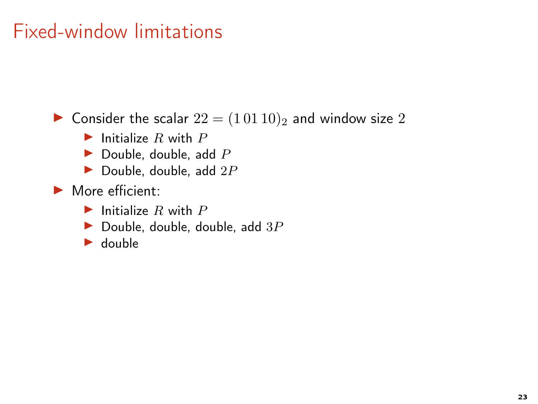▶ Consider the scalar  $22 = (10110)_2$  and window size 2

- $\blacktriangleright$  Initialize R with P
- $\blacktriangleright$  Double, double, add P
- Double, double, add  $2P$
- ▶ More efficient:
	- $\blacktriangleright$  Initialize R with P
	- Double, double, double, add  $3P$
	- $\blacktriangleright$  double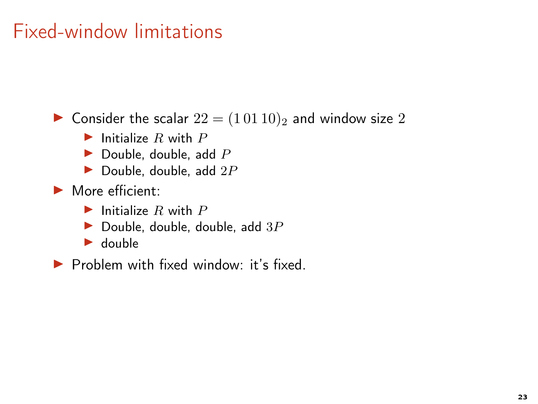▶ Consider the scalar  $22 = (10110)_2$  and window size 2

- $\blacktriangleright$  Initialize R with P
- $\blacktriangleright$  Double, double, add P
- Double, double, add  $2P$
- $\blacktriangleright$  More efficient:
	- $\blacktriangleright$  Initialize R with P
	- Double, double, double, add  $3P$
	- $\blacktriangleright$  double

▶ Problem with fixed window: it's fixed.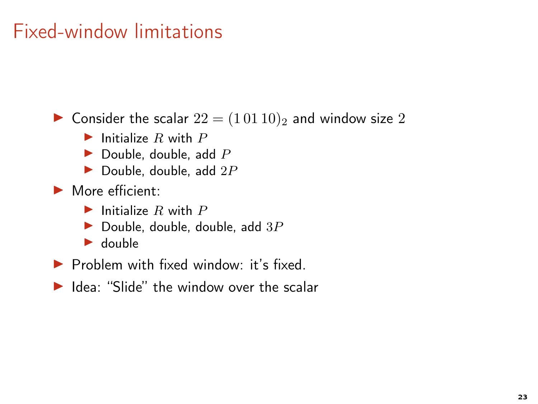▶ Consider the scalar  $22 = (10110)_2$  and window size 2

- $\blacktriangleright$  Initialize R with P
- $\blacktriangleright$  Double, double, add P
- $\blacktriangleright$  Double, double, add  $2P$
- $\blacktriangleright$  More efficient:
	- $\blacktriangleright$  Initialize R with P
	- Double, double, double, add  $3P$
	- $\blacktriangleright$  double
- ▶ Problem with fixed window: it's fixed.
- ▶ Idea: "Slide" the window over the scalar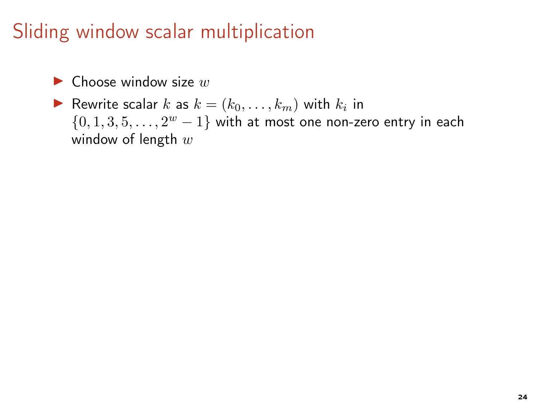- $\blacktriangleright$  Choose window size w
- Rewrite scalar k as  $k = (k_0, \ldots, k_m)$  with  $k_i$  in  $\{0, 1, 3, 5, \ldots, 2^w - 1\}$  with at most one non-zero entry in each window of length  $w$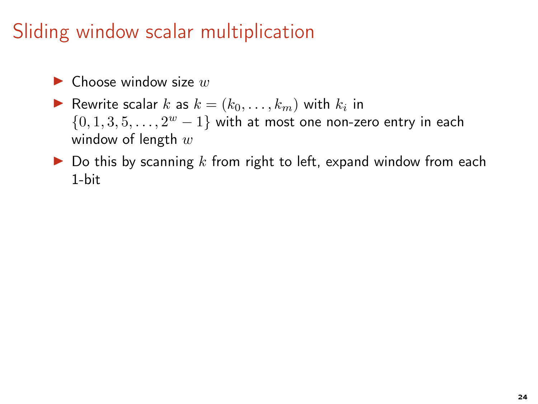- $\blacktriangleright$  Choose window size w
- Rewrite scalar k as  $k = (k_0, \ldots, k_m)$  with  $k_i$  in  $\{0, 1, 3, 5, \ldots, 2^w - 1\}$  with at most one non-zero entry in each window of length  $w$
- $\triangleright$  Do this by scanning k from right to left, expand window from each 1-bit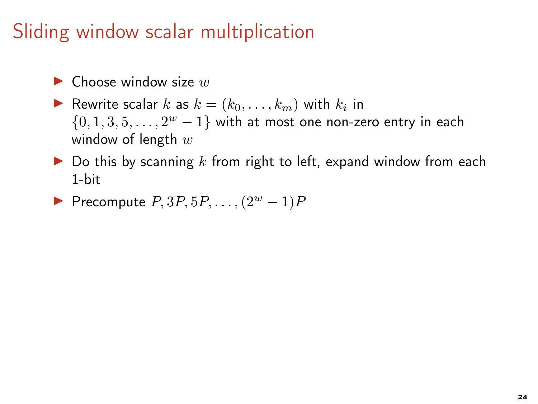- $\blacktriangleright$  Choose window size w
- Rewrite scalar k as  $k = (k_0, \ldots, k_m)$  with  $k_i$  in  $\{0, 1, 3, 5, \ldots, 2^w - 1\}$  with at most one non-zero entry in each window of length  $w$
- $\triangleright$  Do this by scanning k from right to left, expand window from each 1-bit
- Precompute  $P, 3P, 5P, \ldots, (2^w 1)P$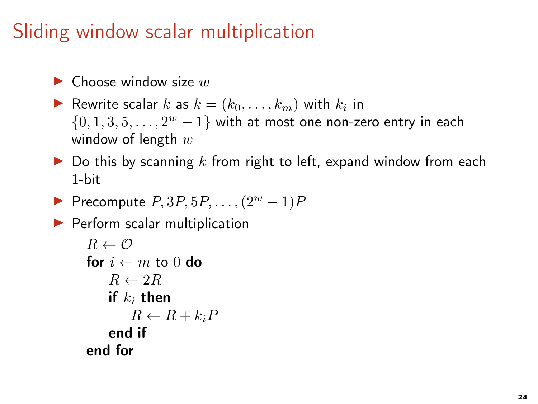- $\blacktriangleright$  Choose window size w
- Rewrite scalar k as  $k = (k_0, \ldots, k_m)$  with  $k_i$  in  $\{0, 1, 3, 5, \ldots, 2^w - 1\}$  with at most one non-zero entry in each window of length  $w$
- $\triangleright$  Do this by scanning k from right to left, expand window from each 1-bit
- Precompute  $P, 3P, 5P, \ldots, (2^w 1)P$

▶ Perform scalar multiplication

```
R \leftarrow \mathcal{O}for i \leftarrow m to 0 do
     R \leftarrow 2Rif k_i then
          R \leftarrow R + k_i Pend if
end for
```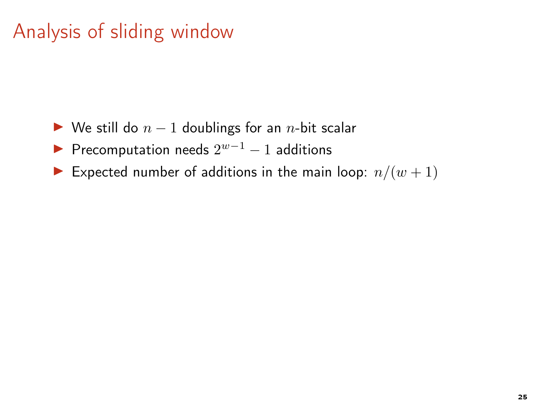## Analysis of sliding window

- ► We still do  $n-1$  doublings for an *n*-bit scalar
- Precomputation needs  $2^{w-1} 1$  additions
- Expected number of additions in the main loop:  $n/(w+1)$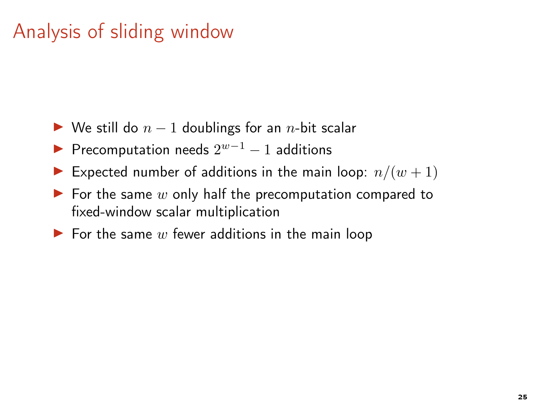# Analysis of sliding window

- $\triangleright$  We still do  $n-1$  doublings for an n-bit scalar
- Precomputation needs  $2^{w-1} 1$  additions
- Expected number of additions in the main loop:  $n/(w+1)$
- $\blacktriangleright$  For the same w only half the precomputation compared to fixed-window scalar multiplication
- $\blacktriangleright$  For the same w fewer additions in the main loop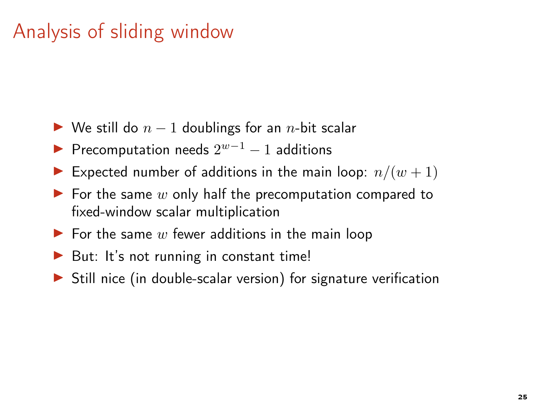# Analysis of sliding window

- $\triangleright$  We still do  $n-1$  doublings for an n-bit scalar
- Precomputation needs  $2^{w-1} 1$  additions
- Expected number of additions in the main loop:  $n/(w+1)$
- $\blacktriangleright$  For the same w only half the precomputation compared to fixed-window scalar multiplication
- $\blacktriangleright$  For the same w fewer additions in the main loop
- $\triangleright$  But: It's not running in constant time!
- $\triangleright$  Still nice (in double-scalar version) for signature verification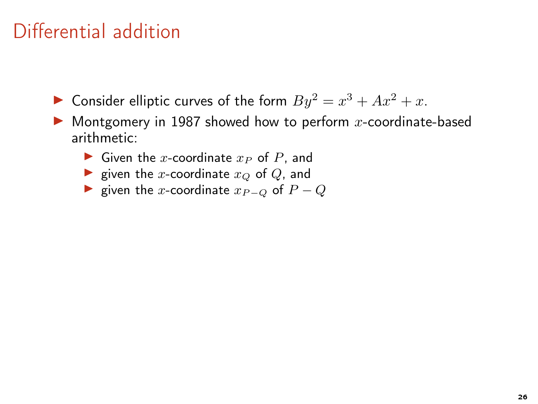- Consider elliptic curves of the form  $By^2 = x^3 + Ax^2 + x$ .
- $\blacktriangleright$  Montgomery in 1987 showed how to perform x-coordinate-based arithmetic:
	- ▶ Given the x-coordinate  $x_P$  of  $P$ , and
	- ightharpoonup size in the x-coordinate  $x_Q$  of  $Q$ , and
	- ► given the x-coordinate  $x_{P-Q}$  of  $P-Q$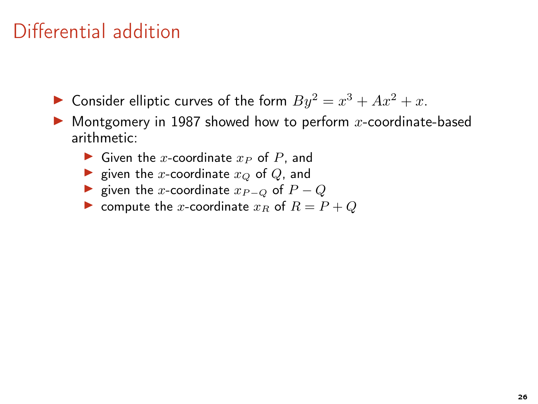- Consider elliptic curves of the form  $By^2 = x^3 + Ax^2 + x$ .
- $\blacktriangleright$  Montgomery in 1987 showed how to perform x-coordinate-based arithmetic:
	- Given the x-coordinate  $x_P$  of P, and
	- ightharpoonup is given the x-coordinate  $x_Q$  of  $Q$ , and
	- ► given the x-coordinate  $x_{P-Q}$  of  $P-Q$
	- $\triangleright$  compute the x-coordinate  $x_R$  of  $R = P + Q$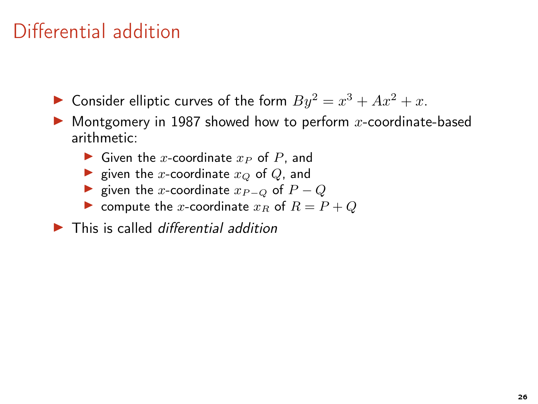- Consider elliptic curves of the form  $By^2 = x^3 + Ax^2 + x$ .
- $\blacktriangleright$  Montgomery in 1987 showed how to perform x-coordinate-based arithmetic:
	- ▶ Given the x-coordinate  $x_P$  of  $P$ , and
	- ightharpoonup is given the x-coordinate  $x_Q$  of  $Q$ , and
	- ► given the x-coordinate  $x_{P-Q}$  of  $P-Q$
	- $\triangleright$  compute the x-coordinate  $x_R$  of  $R = P + Q$
- $\blacktriangleright$  This is called differential addition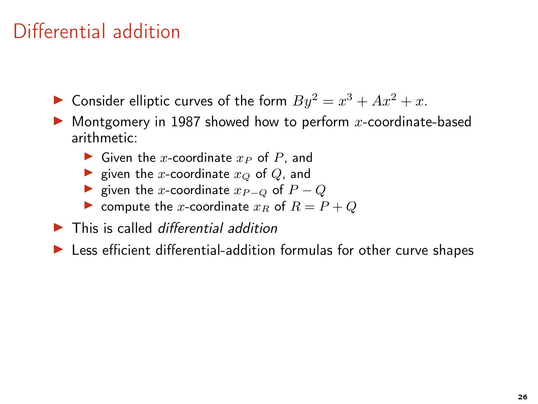- Consider elliptic curves of the form  $By^2 = x^3 + Ax^2 + x$ .
- $\blacktriangleright$  Montgomery in 1987 showed how to perform x-coordinate-based arithmetic:
	- ▶ Given the x-coordinate  $x_P$  of  $P$ , and
	- ightharpoordinate  $x_Q$  of  $Q$ , and
	- ► given the x-coordinate  $x_{P-Q}$  of  $P-Q$
	- $\triangleright$  compute the x-coordinate  $x_R$  of  $R = P + Q$
- $\blacktriangleright$  This is called differential addition
- ▶ Less efficient differential-addition formulas for other curve shapes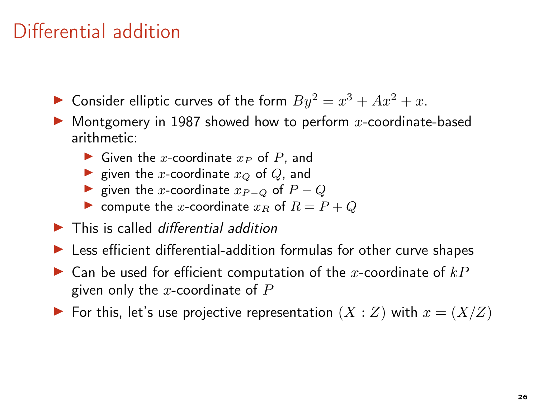- Consider elliptic curves of the form  $By^2 = x^3 + Ax^2 + x$ .
- $\blacktriangleright$  Montgomery in 1987 showed how to perform x-coordinate-based arithmetic:
	- ▶ Given the x-coordinate  $x_P$  of P, and
	- ightharpoordinate  $x_Q$  of  $Q$ , and
	- ► given the x-coordinate  $x_{P-Q}$  of  $P-Q$
	- $\blacktriangleright$  compute the x-coordinate  $x_R$  of  $R = P + Q$
- $\blacktriangleright$  This is called differential addition
- ▶ Less efficient differential-addition formulas for other curve shapes
- $\blacktriangleright$  Can be used for efficient computation of the x-coordinate of  $kP$ given only the x-coordinate of  $P$
- ▶ For this, let's use projective representation  $(X : Z)$  with  $x = (X/Z)$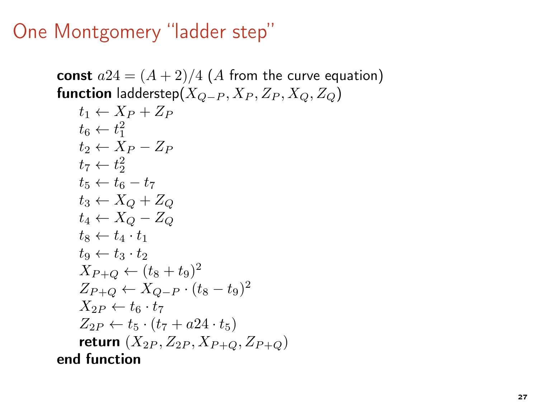#### One Montgomery "ladder step"

const  $a24 = (A + 2)/4$  (A from the curve equation) **function** ladderstep( $X_{O-P}$ ,  $X_P$ ,  $Z_P$ ,  $X_O$ ,  $Z_O$ )  $t_1 \leftarrow X_P + Z_P$  $t_6 \leftarrow t_1^2$  $t_2 \leftarrow X_P - Z_P$  $t_7 \leftarrow t_2^2$  $t_5 \leftarrow t_6 - t_7$  $t_3 \leftarrow X_O + Z_O$  $t_4 \leftarrow X_O - Z_O$  $t_8 \leftarrow t_4 \cdot t_1$  $t_9 \leftarrow t_3 \cdot t_2$  $X_{P+Q} \leftarrow (t_8 + t_9)^2$  $Z_{P+Q} \leftarrow X_{Q-P} \cdot (t_8 - t_9)^2$  $X_{2P} \leftarrow t_6 \cdot t_7$  $Z_{2P} \leftarrow t_5 \cdot (t_7 + a24 \cdot t_5)$ return  $(X_{2P}, Z_{2P}, X_{P+Q}, Z_{P+Q})$ end function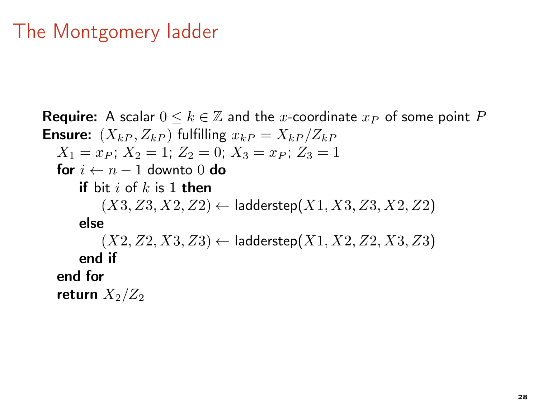#### The Montgomery ladder

**Require:** A scalar  $0 \leq k \in \mathbb{Z}$  and the x-coordinate  $x_P$  of some point P **Ensure:**  $(X_{kP}, Z_{kP})$  fulfilling  $x_{kP} = X_{kP}/Z_{kP}$  $X_1 = x_P$ ;  $X_2 = 1$ ;  $Z_2 = 0$ ;  $X_3 = x_P$ ;  $Z_3 = 1$ for  $i \leftarrow n-1$  downto 0 do if bit i of  $k$  is 1 then  $(X3, Z3, X2, Z2) \leftarrow$  ladderstep $(X1, X3, Z3, X2, Z2)$ else  $(X2, Z2, X3, Z3) \leftarrow$  ladderstep $(X1, X2, Z2, X3, Z3)$ end if end for return  $X_2/Z_2$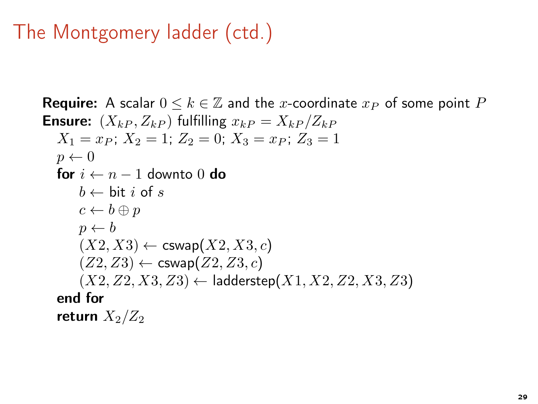#### The Montgomery ladder (ctd.)

```
Require: A scalar 0 \leq k \in \mathbb{Z} and the x-coordinate x_P of some point P
Ensure: (X_{kP}, Z_{kP}) fulfilling x_{kP} = X_{kP}/Z_{kP}X_1 = x_P; X_2 = 1; Z_2 = 0; X_3 = x_P; Z_3 = 1p \leftarrow 0for i \leftarrow n - 1 downto 0 do
       b \leftarrow \text{bit } i \text{ of } sc \leftarrow b \oplus pp \leftarrow b(X2, X3) \leftarrow \textsf{cswap}(X2, X3, c)(Z2, Z3) \leftarrow \text{cswap}(Z2, Z3, c)(X2, Z2, X3, Z3) \leftarrow ladderstep(X1, X2, Z2, X3, Z3)end for
   return X_2/Z_2
```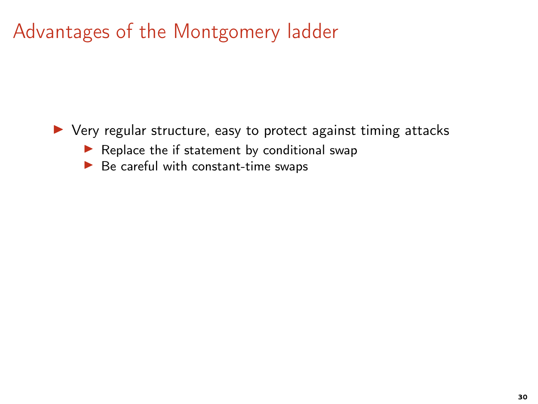▶ Very regular structure, easy to protect against timing attacks

- $\blacktriangleright$  Replace the if statement by conditional swap
- $\blacktriangleright$  Be careful with constant-time swaps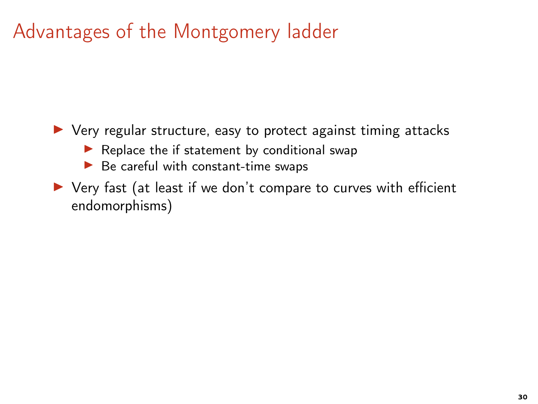$\triangleright$  Very regular structure, easy to protect against timing attacks

- $\blacktriangleright$  Replace the if statement by conditional swap
- $\blacktriangleright$  Be careful with constant-time swaps
- ▶ Very fast (at least if we don't compare to curves with efficient endomorphisms)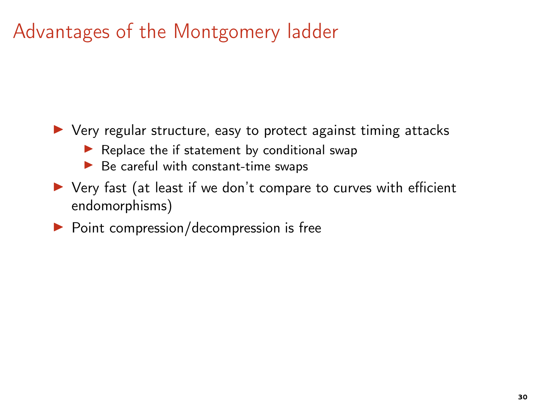▶ Very regular structure, easy to protect against timing attacks

- $\blacktriangleright$  Replace the if statement by conditional swap
- $\blacktriangleright$  Be careful with constant-time swaps
- ▶ Very fast (at least if we don't compare to curves with efficient endomorphisms)
- $\triangleright$  Point compression/decompression is free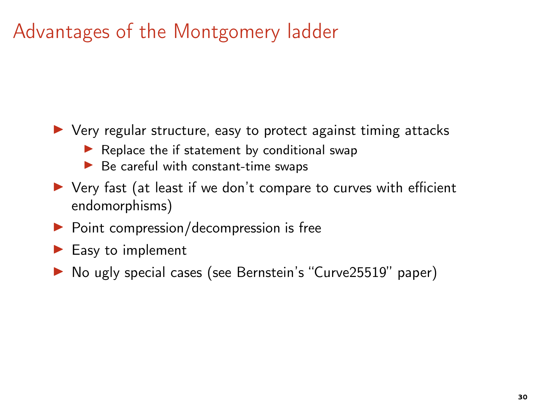- ▶ Very regular structure, easy to protect against timing attacks
	- $\blacktriangleright$  Replace the if statement by conditional swap
	- $\blacktriangleright$  Be careful with constant-time swaps
- ▶ Very fast (at least if we don't compare to curves with efficient endomorphisms)
- $\triangleright$  Point compression/decompression is free
- $\blacktriangleright$  Easy to implement
- ▶ No ugly special cases (see Bernstein's "Curve25519" paper)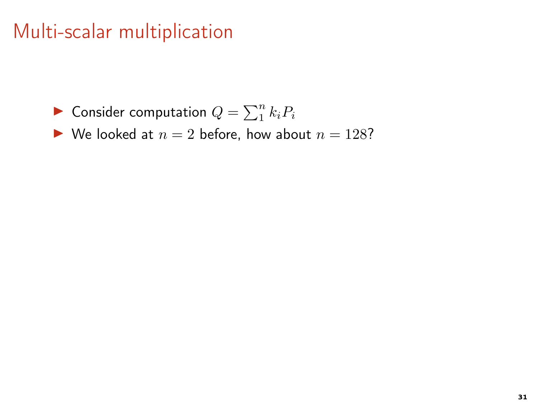- $\blacktriangleright$  Consider computation  $Q = \sum_1^n k_i P_i$
- $\blacktriangleright$  We looked at  $n = 2$  before, how about  $n = 128$ ?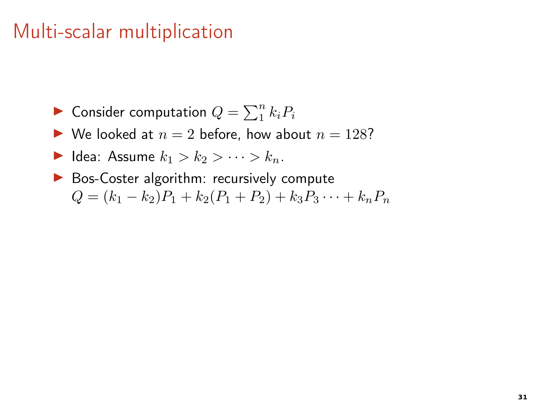- $\blacktriangleright$  Consider computation  $Q = \sum_1^n k_i P_i$
- $\blacktriangleright$  We looked at  $n = 2$  before, how about  $n = 128$ ?
- $\blacktriangleright$  Idea: Assume  $k_1 > k_2 > \cdots > k_n$ .
- ▶ Bos-Coster algorithm: recursively compute  $Q = (k_1 - k_2)P_1 + k_2(P_1 + P_2) + k_3P_3 \cdots + k_nP_n$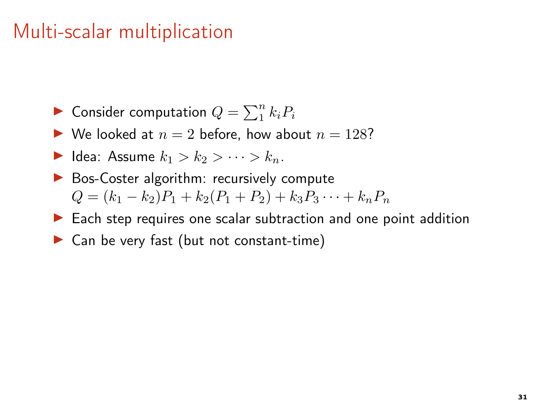- $\blacktriangleright$  Consider computation  $Q = \sum_1^n k_i P_i$
- $\blacktriangleright$  We looked at  $n = 2$  before, how about  $n = 128$ ?
- $\blacktriangleright$  Idea: Assume  $k_1 > k_2 > \cdots > k_n$ .
- ▶ Bos-Coster algorithm: recursively compute  $Q = (k_1 - k_2)P_1 + k_2(P_1 + P_2) + k_3P_3 \cdots + k_nP_n$
- ▶ Each step requires one scalar subtraction and one point addition
- $\triangleright$  Can be very fast (but not constant-time)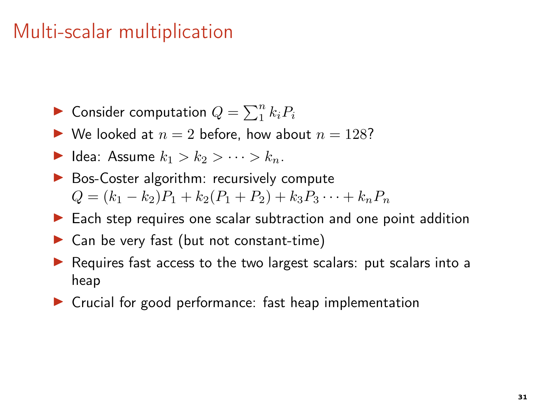- $\blacktriangleright$  Consider computation  $Q = \sum_1^n k_i P_i$
- $\blacktriangleright$  We looked at  $n = 2$  before, how about  $n = 128$ ?
- $\blacktriangleright$  Idea: Assume  $k_1 > k_2 > \cdots > k_n$ .
- ▶ Bos-Coster algorithm: recursively compute  $Q = (k_1 - k_2)P_1 + k_2(P_1 + P_2) + k_3P_3 \cdots + k_nP_n$
- ▶ Each step requires one scalar subtraction and one point addition
- $\triangleright$  Can be very fast (but not constant-time)
- ▶ Requires fast access to the two largest scalars: put scalars into a heap
- ▶ Crucial for good performance: fast heap implementation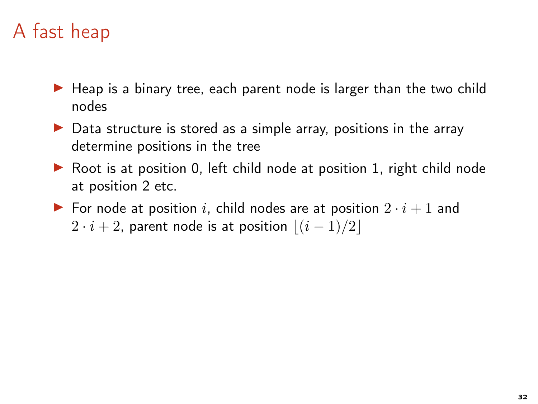# A fast heap

- ▶ Heap is a binary tree, each parent node is larger than the two child nodes
- $\triangleright$  Data structure is stored as a simple array, positions in the array determine positions in the tree
- ▶ Root is at position 0, left child node at position 1, right child node at position 2 etc.
- $\triangleright$  For node at position i, child nodes are at position  $2 \cdot i + 1$  and  $2 \cdot i + 2$ , parent node is at position  $|(i - 1)/2|$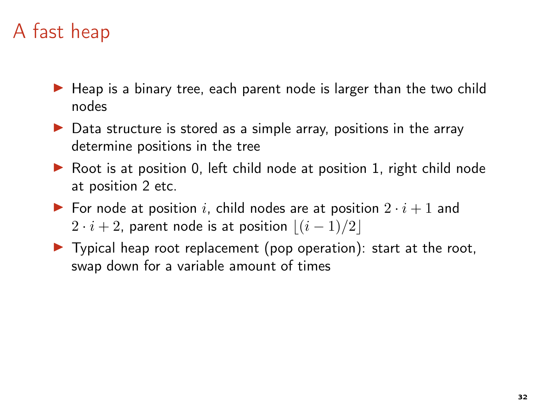# A fast heap

- ▶ Heap is a binary tree, each parent node is larger than the two child nodes
- $\triangleright$  Data structure is stored as a simple array, positions in the array determine positions in the tree
- ▶ Root is at position 0, left child node at position 1, right child node at position 2 etc.
- $\triangleright$  For node at position i, child nodes are at position  $2 \cdot i + 1$  and  $2 \cdot i + 2$ , parent node is at position  $|(i - 1)/2|$
- $\triangleright$  Typical heap root replacement (pop operation): start at the root, swap down for a variable amount of times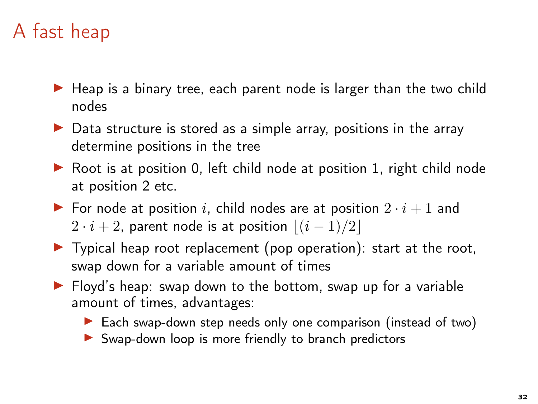# A fast heap

- ▶ Heap is a binary tree, each parent node is larger than the two child nodes
- $\triangleright$  Data structure is stored as a simple array, positions in the array determine positions in the tree
- ▶ Root is at position 0, left child node at position 1, right child node at position 2 etc.
- $\triangleright$  For node at position i, child nodes are at position  $2 \cdot i + 1$  and  $2 \cdot i + 2$ , parent node is at position  $|(i - 1)/2|$
- $\triangleright$  Typical heap root replacement (pop operation): start at the root, swap down for a variable amount of times
- ▶ Floyd's heap: swap down to the bottom, swap up for a variable amount of times, advantages:
	- ▶ Each swap-down step needs only one comparison (instead of two)
	- ▶ Swap-down loop is more friendly to branch predictors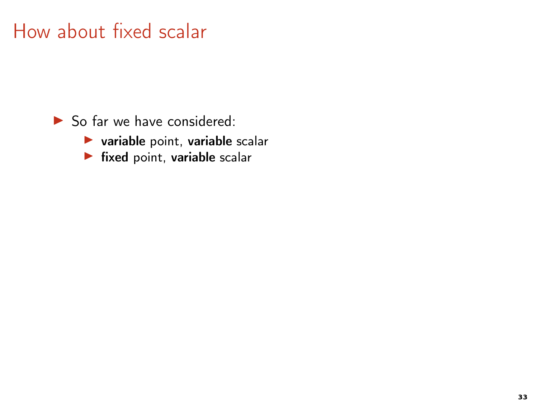$\blacktriangleright$  So far we have considered:

- $\blacktriangleright$  variable point, variable scalar
- $\blacktriangleright$  fixed point, variable scalar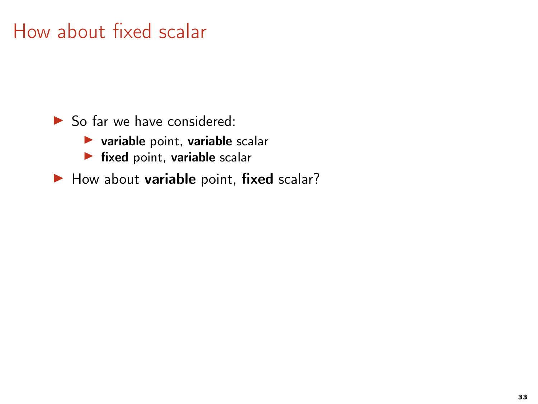$\triangleright$  So far we have considered:

- $\blacktriangleright$  variable point, variable scalar
- $\blacktriangleright$  fixed point, variable scalar

 $\blacktriangleright$  How about variable point, fixed scalar?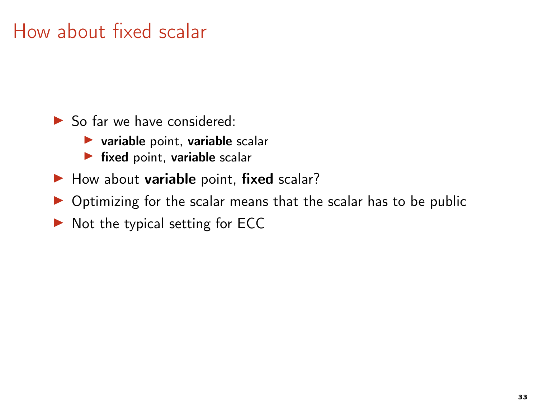- $\triangleright$  So far we have considered:
	- $\blacktriangleright$  variable point, variable scalar
	- $\blacktriangleright$  fixed point, variable scalar
- $\blacktriangleright$  How about variable point, fixed scalar?
- $\triangleright$  Optimizing for the scalar means that the scalar has to be public
- $\triangleright$  Not the typical setting for ECC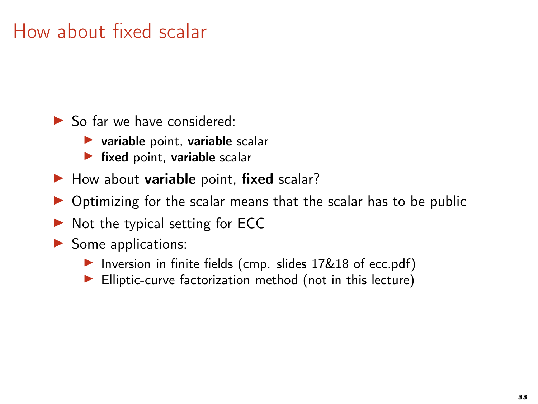- $\triangleright$  So far we have considered:
	- $\blacktriangleright$  variable point, variable scalar
	- $\blacktriangleright$  fixed point, variable scalar
- $\blacktriangleright$  How about variable point, fixed scalar?
- $\triangleright$  Optimizing for the scalar means that the scalar has to be public
- $\triangleright$  Not the typical setting for ECC
- $\blacktriangleright$  Some applications:
	- ▶ Inversion in finite fields (cmp. slides 17&18 of ecc.pdf)
	- ▶ Elliptic-curve factorization method (not in this lecture)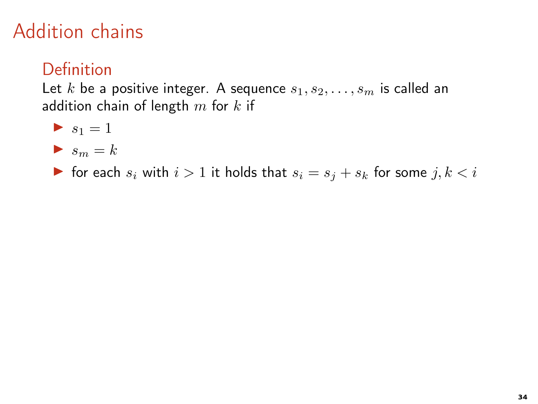#### Definition

Let k be a positive integer. A sequence  $s_1, s_2, \ldots, s_m$  is called an addition chain of length  $m$  for  $k$  if

$$
\blacktriangleright s_1 = 1
$$

$$
\blacktriangleright s_m = k
$$

▶ for each  $s_i$  with  $i > 1$  it holds that  $s_i = s_j + s_k$  for some  $j, k < i$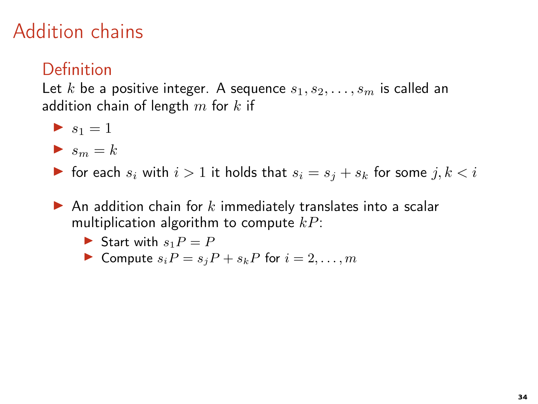#### Definition

$$
\blacktriangleright s_1 = 1
$$

- $\blacktriangleright$  s<sub>m</sub> = k
- ▶ for each  $s_i$  with  $i > 1$  it holds that  $s_i = s_j + s_k$  for some  $j, k < i$
- $\blacktriangleright$  An addition chain for k immediately translates into a scalar multiplication algorithm to compute  $kP$ :
	- Start with  $s_1P = P$
	- $\blacktriangleright$  Compute  $s_i P = s_j P + s_k P$  for  $i = 2, \ldots, m$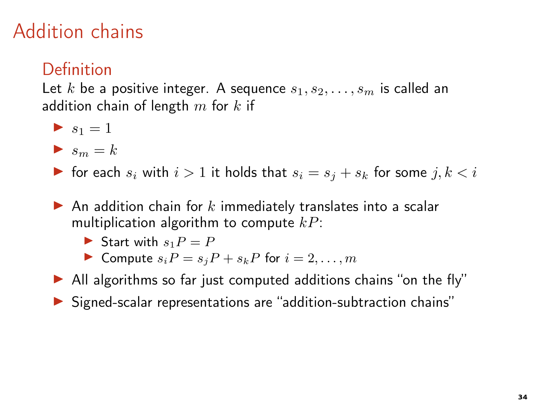### Definition

$$
\blacktriangleright s_1 = 1
$$

- $\blacktriangleright$  s<sub>m</sub> = k
- ▶ for each  $s_i$  with  $i > 1$  it holds that  $s_i = s_j + s_k$  for some  $j, k < i$
- $\blacktriangleright$  An addition chain for k immediately translates into a scalar multiplication algorithm to compute  $kP$ :
	- Start with  $s_1P = P$
	- Compute  $s_iP = s_iP + s_kP$  for  $i = 2, \ldots, m$
- ▶ All algorithms so far just computed additions chains "on the fly"
- ▶ Signed-scalar representations are "addition-subtraction chains"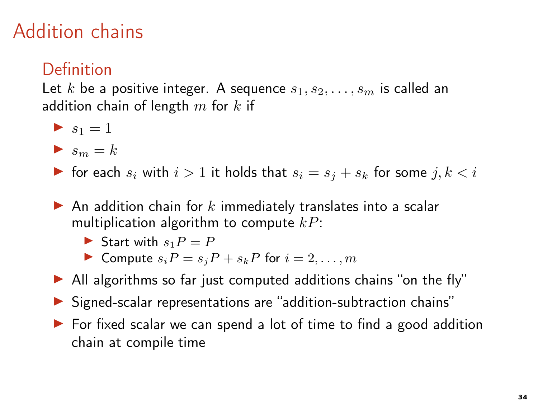### Definition

$$
\blacktriangleright s_1 = 1
$$

- $\blacktriangleright$  s<sub>m</sub> = k
- ▶ for each  $s_i$  with  $i > 1$  it holds that  $s_i = s_j + s_k$  for some  $j, k < i$
- $\blacktriangleright$  An addition chain for k immediately translates into a scalar multiplication algorithm to compute  $kP$ :
	- Start with  $s_1P = P$
	- ▶ Compute  $s_iP = s_jP + s_kP$  for  $i = 2, \ldots, m$
- ▶ All algorithms so far just computed additions chains "on the fly"
- ▶ Signed-scalar representations are "addition-subtraction chains"
- ▶ For fixed scalar we can spend a lot of time to find a good addition chain at compile time